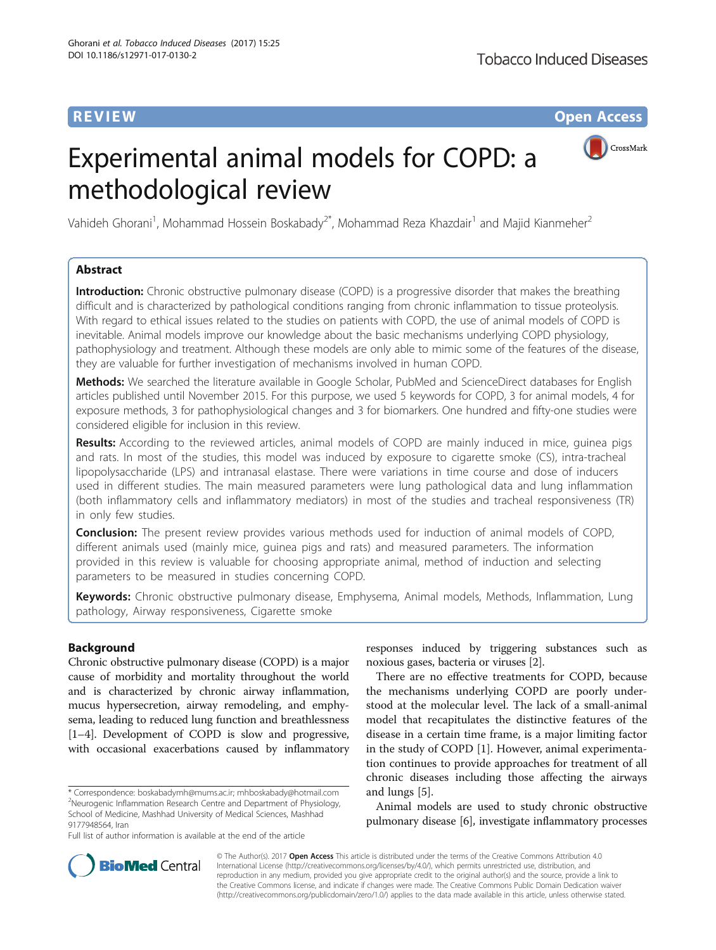**REVIEW CONSTRUCTION CONSTRUCTION CONSTRUCTS** 



# Experimental animal models for COPD: a methodological review

Vahideh Ghorani<sup>1</sup>, Mohammad Hossein Boskabady<sup>2\*</sup>, Mohammad Reza Khazdair<sup>1</sup> and Majid Kianmeher<sup>2</sup>

# Abstract

Introduction: Chronic obstructive pulmonary disease (COPD) is a progressive disorder that makes the breathing difficult and is characterized by pathological conditions ranging from chronic inflammation to tissue proteolysis. With regard to ethical issues related to the studies on patients with COPD, the use of animal models of COPD is inevitable. Animal models improve our knowledge about the basic mechanisms underlying COPD physiology, pathophysiology and treatment. Although these models are only able to mimic some of the features of the disease, they are valuable for further investigation of mechanisms involved in human COPD.

Methods: We searched the literature available in Google Scholar, PubMed and ScienceDirect databases for English articles published until November 2015. For this purpose, we used 5 keywords for COPD, 3 for animal models, 4 for exposure methods, 3 for pathophysiological changes and 3 for biomarkers. One hundred and fifty-one studies were considered eligible for inclusion in this review.

Results: According to the reviewed articles, animal models of COPD are mainly induced in mice, quinea pigs and rats. In most of the studies, this model was induced by exposure to cigarette smoke (CS), intra-tracheal lipopolysaccharide (LPS) and intranasal elastase. There were variations in time course and dose of inducers used in different studies. The main measured parameters were lung pathological data and lung inflammation (both inflammatory cells and inflammatory mediators) in most of the studies and tracheal responsiveness (TR) in only few studies.

**Conclusion:** The present review provides various methods used for induction of animal models of COPD, different animals used (mainly mice, guinea pigs and rats) and measured parameters. The information provided in this review is valuable for choosing appropriate animal, method of induction and selecting parameters to be measured in studies concerning COPD.

Keywords: Chronic obstructive pulmonary disease, Emphysema, Animal models, Methods, Inflammation, Lung pathology, Airway responsiveness, Cigarette smoke

# Background

Chronic obstructive pulmonary disease (COPD) is a major cause of morbidity and mortality throughout the world and is characterized by chronic airway inflammation, mucus hypersecretion, airway remodeling, and emphysema, leading to reduced lung function and breathlessness [[1](#page-9-0)–[4](#page-9-0)]. Development of COPD is slow and progressive, with occasional exacerbations caused by inflammatory

\* Correspondence: [boskabadymh@mums.ac.ir;](mailto:boskabadymh@mums.ac.ir) [mhboskabady@hotmail.com](mailto:mhboskabady@hotmail.com) <sup>2</sup>

<sup>2</sup>Neurogenic Inflammation Research Centre and Department of Physiology, School of Medicine, Mashhad University of Medical Sciences, Mashhad 9177948564, Iran

Full list of author information is available at the end of the article

responses induced by triggering substances such as noxious gases, bacteria or viruses [\[2](#page-9-0)].

There are no effective treatments for COPD, because the mechanisms underlying COPD are poorly understood at the molecular level. The lack of a small-animal model that recapitulates the distinctive features of the disease in a certain time frame, is a major limiting factor in the study of COPD [[1\]](#page-9-0). However, animal experimentation continues to provide approaches for treatment of all chronic diseases including those affecting the airways and lungs [[5\]](#page-9-0).

Animal models are used to study chronic obstructive pulmonary disease [[6](#page-9-0)], investigate inflammatory processes



© The Author(s). 2017 **Open Access** This article is distributed under the terms of the Creative Commons Attribution 4.0 International License [\(http://creativecommons.org/licenses/by/4.0/](http://creativecommons.org/licenses/by/4.0/)), which permits unrestricted use, distribution, and reproduction in any medium, provided you give appropriate credit to the original author(s) and the source, provide a link to the Creative Commons license, and indicate if changes were made. The Creative Commons Public Domain Dedication waiver [\(http://creativecommons.org/publicdomain/zero/1.0/](http://creativecommons.org/publicdomain/zero/1.0/)) applies to the data made available in this article, unless otherwise stated.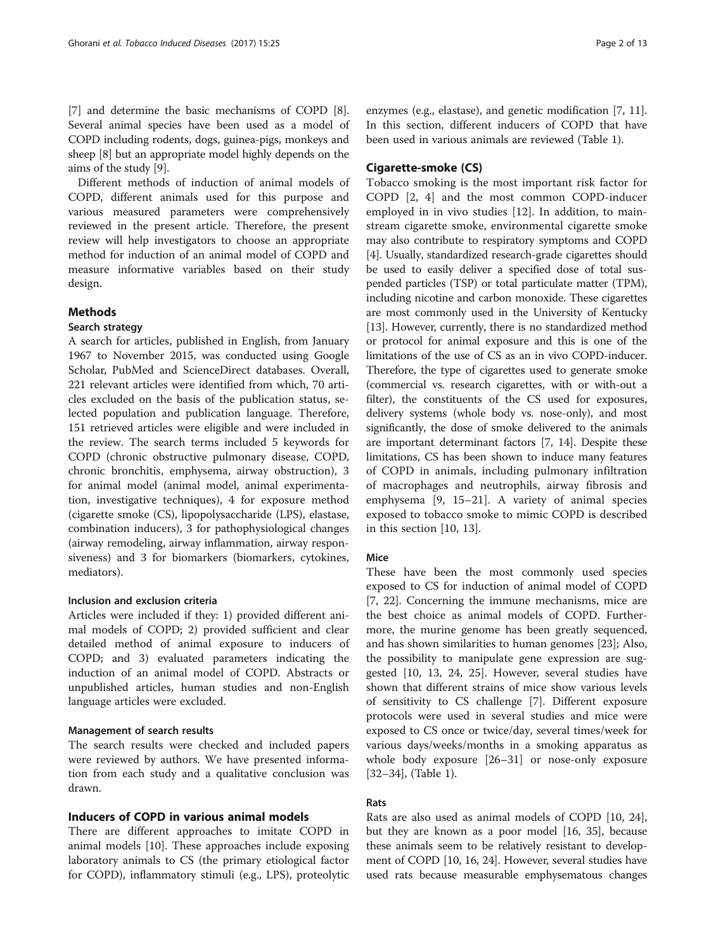[[7\]](#page-9-0) and determine the basic mechanisms of COPD [[8](#page-9-0)]. Several animal species have been used as a model of COPD including rodents, dogs, guinea-pigs, monkeys and sheep [\[8](#page-9-0)] but an appropriate model highly depends on the aims of the study [[9\]](#page-9-0).

Different methods of induction of animal models of COPD, different animals used for this purpose and various measured parameters were comprehensively reviewed in the present article. Therefore, the present review will help investigators to choose an appropriate method for induction of an animal model of COPD and measure informative variables based on their study design.

### Methods

# Search strategy

A search for articles, published in English, from January 1967 to November 2015, was conducted using Google Scholar, PubMed and ScienceDirect databases. Overall, 221 relevant articles were identified from which, 70 articles excluded on the basis of the publication status, selected population and publication language. Therefore, 151 retrieved articles were eligible and were included in the review. The search terms included 5 keywords for COPD (chronic obstructive pulmonary disease, COPD, chronic bronchitis, emphysema, airway obstruction), 3 for animal model (animal model, animal experimentation, investigative techniques), 4 for exposure method (cigarette smoke (CS), lipopolysaccharide (LPS), elastase, combination inducers), 3 for pathophysiological changes (airway remodeling, airway inflammation, airway responsiveness) and 3 for biomarkers (biomarkers, cytokines, mediators).

#### Inclusion and exclusion criteria

Articles were included if they: 1) provided different animal models of COPD; 2) provided sufficient and clear detailed method of animal exposure to inducers of COPD; and 3) evaluated parameters indicating the induction of an animal model of COPD. Abstracts or unpublished articles, human studies and non-English language articles were excluded.

#### Management of search results

The search results were checked and included papers were reviewed by authors. We have presented information from each study and a qualitative conclusion was drawn.

### Inducers of COPD in various animal models

There are different approaches to imitate COPD in animal models [\[10](#page-9-0)]. These approaches include exposing laboratory animals to CS (the primary etiological factor for COPD), inflammatory stimuli (e.g., LPS), proteolytic

enzymes (e.g., elastase), and genetic modification [\[7](#page-9-0), [11](#page-9-0)]. In this section, different inducers of COPD that have been used in various animals are reviewed (Table [1\)](#page-2-0).

# Cigarette-smoke (CS)

Tobacco smoking is the most important risk factor for COPD [[2, 4\]](#page-9-0) and the most common COPD-inducer employed in in vivo studies [\[12](#page-9-0)]. In addition, to mainstream cigarette smoke, environmental cigarette smoke may also contribute to respiratory symptoms and COPD [[4\]](#page-9-0). Usually, standardized research-grade cigarettes should be used to easily deliver a specified dose of total suspended particles (TSP) or total particulate matter (TPM), including nicotine and carbon monoxide. These cigarettes are most commonly used in the University of Kentucky [[13](#page-9-0)]. However, currently, there is no standardized method or protocol for animal exposure and this is one of the limitations of the use of CS as an in vivo COPD-inducer. Therefore, the type of cigarettes used to generate smoke (commercial vs. research cigarettes, with or with-out a filter), the constituents of the CS used for exposures, delivery systems (whole body vs. nose-only), and most significantly, the dose of smoke delivered to the animals are important determinant factors [\[7](#page-9-0), [14](#page-9-0)]. Despite these limitations, CS has been shown to induce many features of COPD in animals, including pulmonary infiltration of macrophages and neutrophils, airway fibrosis and emphysema [\[9](#page-9-0), [15](#page-9-0)–[21\]](#page-9-0). A variety of animal species exposed to tobacco smoke to mimic COPD is described in this section [[10, 13\]](#page-9-0).

#### Mice

These have been the most commonly used species exposed to CS for induction of animal model of COPD [[7, 22\]](#page-9-0). Concerning the immune mechanisms, mice are the best choice as animal models of COPD. Furthermore, the murine genome has been greatly sequenced, and has shown similarities to human genomes [\[23\]](#page-9-0); Also, the possibility to manipulate gene expression are suggested [[10, 13, 24, 25\]](#page-9-0). However, several studies have shown that different strains of mice show various levels of sensitivity to CS challenge [\[7](#page-9-0)]. Different exposure protocols were used in several studies and mice were exposed to CS once or twice/day, several times/week for various days/weeks/months in a smoking apparatus as whole body exposure [[26](#page-9-0)–[31](#page-9-0)] or nose-only exposure [[32](#page-9-0)–[34](#page-9-0)], (Table [1\)](#page-2-0).

#### Rats

Rats are also used as animal models of COPD [[10](#page-9-0), [24](#page-9-0)], but they are known as a poor model [\[16, 35](#page-9-0)], because these animals seem to be relatively resistant to development of COPD [\[10, 16](#page-9-0), [24](#page-9-0)]. However, several studies have used rats because measurable emphysematous changes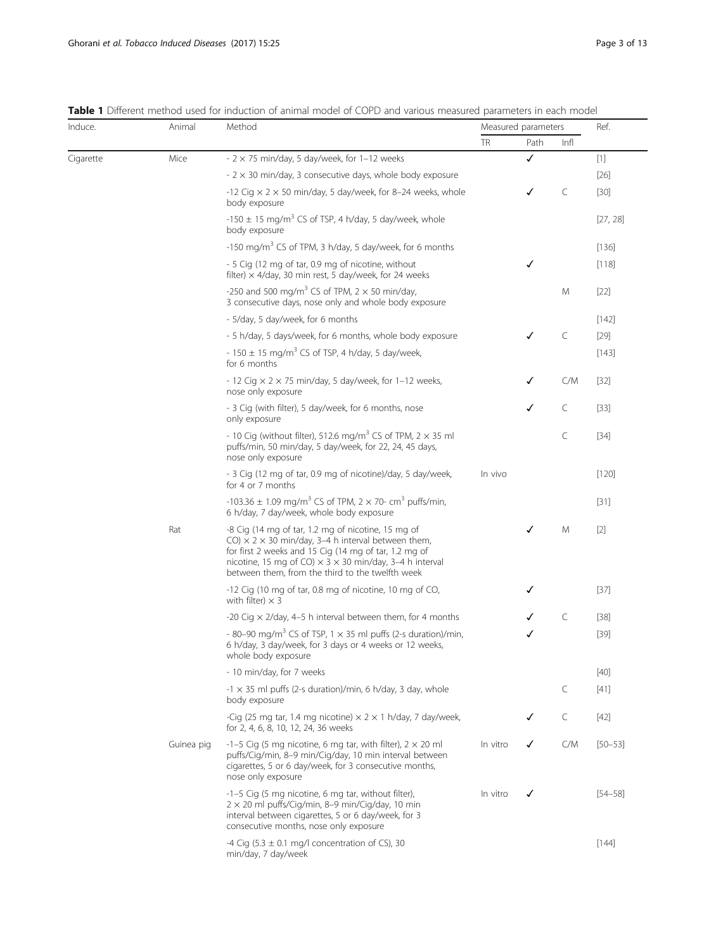| Induce.   | Animal     | Method                                                                                                                                                                                                                                                                                                       |           | Measured parameters |             |             |
|-----------|------------|--------------------------------------------------------------------------------------------------------------------------------------------------------------------------------------------------------------------------------------------------------------------------------------------------------------|-----------|---------------------|-------------|-------------|
|           |            |                                                                                                                                                                                                                                                                                                              | <b>TR</b> | Path                | Infl        |             |
| Cigarette | Mice       | - $2 \times 75$ min/day, 5 day/week, for 1-12 weeks                                                                                                                                                                                                                                                          |           | ✓                   |             | $[1]$       |
|           |            | $-2 \times 30$ min/day, 3 consecutive days, whole body exposure                                                                                                                                                                                                                                              |           |                     |             | $[26]$      |
|           |            | -12 Cig $\times$ 2 $\times$ 50 min/day, 5 day/week, for 8-24 weeks, whole<br>body exposure                                                                                                                                                                                                                   |           | ✓                   | C           | $[30]$      |
|           |            | $-150 \pm 15$ mg/m <sup>3</sup> CS of TSP, 4 h/day, 5 day/week, whole<br>body exposure                                                                                                                                                                                                                       |           |                     |             | [27, 28]    |
|           |            | -150 mg/m <sup>3</sup> CS of TPM, 3 h/day, 5 day/week, for 6 months                                                                                                                                                                                                                                          |           |                     |             | [136]       |
|           |            | - 5 Cig (12 mg of tar, 0.9 mg of nicotine, without<br>filter) $\times$ 4/day, 30 min rest, 5 day/week, for 24 weeks                                                                                                                                                                                          |           | ✓                   |             | [118]       |
|           |            | -250 and 500 mg/m <sup>3</sup> CS of TPM, 2 $\times$ 50 min/day,<br>3 consecutive days, nose only and whole body exposure                                                                                                                                                                                    |           |                     | M           | $[22]$      |
|           |            | - 5/day, 5 day/week, for 6 months                                                                                                                                                                                                                                                                            |           |                     |             | $[142]$     |
|           |            | - 5 h/day, 5 days/week, for 6 months, whole body exposure                                                                                                                                                                                                                                                    |           | ✓                   | C           | $[29]$      |
|           |            | - 150 $\pm$ 15 mg/m <sup>3</sup> CS of TSP, 4 h/day, 5 day/week,<br>for 6 months                                                                                                                                                                                                                             |           |                     |             | $[143]$     |
|           |            | - 12 Cig $\times$ 2 $\times$ 75 min/day, 5 day/week, for 1-12 weeks,<br>nose only exposure                                                                                                                                                                                                                   |           | ✓                   | C/M         | $[32]$      |
|           |            | - 3 Cig (with filter), 5 day/week, for 6 months, nose<br>only exposure                                                                                                                                                                                                                                       |           | ✓                   | $\subset$   | $[33]$      |
|           |            | - 10 Cig (without filter), 512.6 mg/m <sup>3</sup> CS of TPM, 2 $\times$ 35 ml<br>puffs/min, 50 min/day, 5 day/week, for 22, 24, 45 days,<br>nose only exposure                                                                                                                                              |           |                     | C           | $[34]$      |
|           |            | - 3 Cig (12 mg of tar, 0.9 mg of nicotine)/day, 5 day/week,<br>for 4 or 7 months                                                                                                                                                                                                                             | In vivo   |                     |             | [120]       |
|           |            | -103.36 $\pm$ 1.09 mg/m <sup>3</sup> CS of TPM, 2 $\times$ 70- cm <sup>3</sup> puffs/min,<br>6 h/day, 7 day/week, whole body exposure                                                                                                                                                                        |           |                     |             | $[31]$      |
|           | Rat        | -8 Cig (14 mg of tar, 1.2 mg of nicotine, 15 mg of<br>CO) $\times$ 2 $\times$ 30 min/day, 3–4 h interval between them,<br>for first 2 weeks and 15 Cig (14 mg of tar, 1.2 mg of<br>nicotine, 15 mg of CO) $\times$ 3 $\times$ 30 min/day, 3–4 h interval<br>between them, from the third to the twelfth week |           | ✓                   | M           | $[2]$       |
|           |            | -12 Cig (10 mg of tar, 0.8 mg of nicotine, 10 mg of CO,<br>with filter) $\times$ 3                                                                                                                                                                                                                           |           | ✓                   |             | $[37]$      |
|           |            | -20 Cig $\times$ 2/day, 4–5 h interval between them, for 4 months                                                                                                                                                                                                                                            |           | ✓                   | $\mathsf C$ | $[38]$      |
|           |            | - 80–90 mg/m <sup>3</sup> CS of TSP, 1 $\times$ 35 ml puffs (2-s duration)/min,<br>6 h/day, 3 day/week, for 3 days or 4 weeks or 12 weeks,<br>whole body exposure                                                                                                                                            |           | ✓                   |             | $[39]$      |
|           |            | - 10 min/day, for 7 weeks                                                                                                                                                                                                                                                                                    |           |                     |             | $[40]$      |
|           |            | $-1 \times 35$ ml puffs (2-s duration)/min, 6 h/day, 3 day, whole<br>body exposure                                                                                                                                                                                                                           |           |                     | C           | $[41]$      |
|           |            | -Cig (25 mg tar, 1.4 mg nicotine) $\times$ 2 $\times$ 1 h/day, 7 day/week,<br>for 2, 4, 6, 8, 10, 12, 24, 36 weeks                                                                                                                                                                                           |           | ✓                   | C           | [42]        |
|           | Guinea pig | -1-5 Cig (5 mg nicotine, 6 mg tar, with filter), $2 \times 20$ ml<br>puffs/Cig/min, 8-9 min/Cig/day, 10 min interval between<br>cigarettes, 5 or 6 day/week, for 3 consecutive months,<br>nose only exposure                                                                                                 | In vitro  | ✓                   | C/M         | $[50 - 53]$ |
|           |            | -1-5 Cig (5 mg nicotine, 6 mg tar, without filter),<br>$2 \times 20$ ml puffs/Cig/min, 8-9 min/Cig/day, 10 min<br>interval between cigarettes, 5 or 6 day/week, for 3<br>consecutive months, nose only exposure                                                                                              | In vitro  | ✓                   |             | $[54 - 58]$ |
|           |            | -4 Cig (5.3 $\pm$ 0.1 mg/l concentration of CS), 30<br>min/day, 7 day/week                                                                                                                                                                                                                                   |           |                     |             | $[144]$     |

<span id="page-2-0"></span>Table 1 Different method used for induction of animal model of COPD and various measured parameters in each model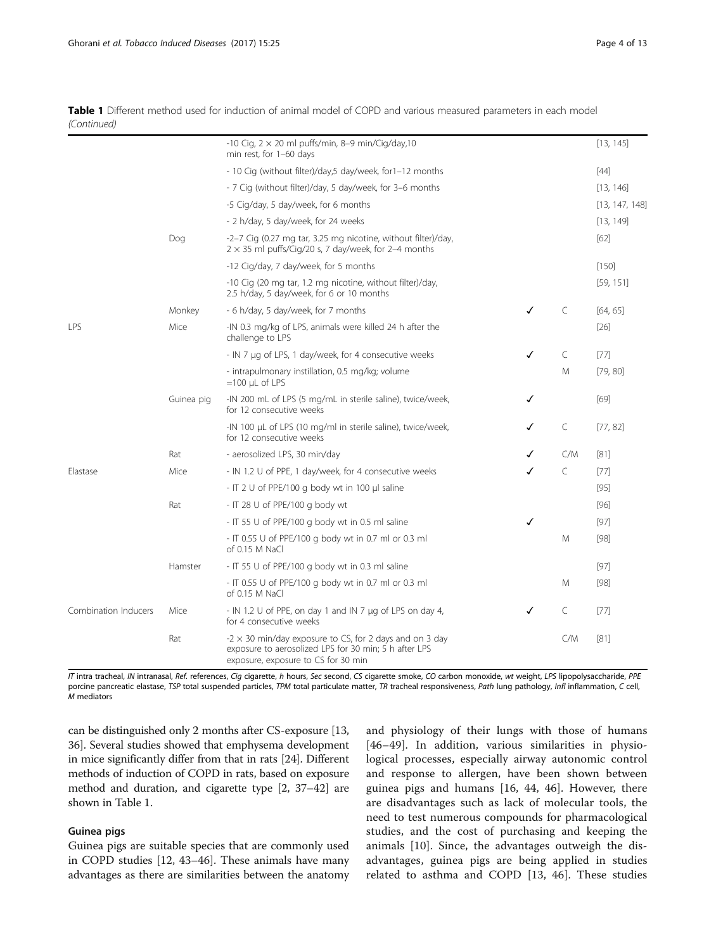| $($ Communical       |            |                                                                                                                                                                |   |             |                |
|----------------------|------------|----------------------------------------------------------------------------------------------------------------------------------------------------------------|---|-------------|----------------|
|                      |            | -10 Cig, $2 \times 20$ ml puffs/min, 8-9 min/Cig/day,10<br>min rest, for 1-60 days                                                                             |   |             | [13, 145]      |
|                      |            | - 10 Cig (without filter)/day,5 day/week, for1-12 months                                                                                                       |   |             | $[44]$         |
|                      |            | - 7 Cig (without filter)/day, 5 day/week, for 3-6 months                                                                                                       |   |             | [13, 146]      |
|                      |            | -5 Cig/day, 5 day/week, for 6 months                                                                                                                           |   |             | [13, 147, 148] |
|                      |            | - 2 h/day, 5 day/week, for 24 weeks                                                                                                                            |   |             | [13, 149]      |
|                      | Dog        | -2–7 Cig (0.27 mg tar, 3.25 mg nicotine, without filter)/day,<br>$2 \times 35$ ml puffs/Cig/20 s, 7 day/week, for 2-4 months                                   |   |             | $[62]$         |
|                      |            | -12 Cig/day, 7 day/week, for 5 months                                                                                                                          |   |             | [150]          |
|                      |            | -10 Cig (20 mg tar, 1.2 mg nicotine, without filter)/day,<br>2.5 h/day, 5 day/week, for 6 or 10 months                                                         |   |             | [59, 151]      |
|                      | Monkey     | - 6 h/day, 5 day/week, for 7 months                                                                                                                            | ✓ | C           | [64, 65]       |
| LPS                  | Mice       | -IN 0.3 mg/kg of LPS, animals were killed 24 h after the<br>challenge to LPS                                                                                   |   |             | $[26]$         |
|                      |            | - IN 7 µg of LPS, 1 day/week, for 4 consecutive weeks                                                                                                          | ✓ | C           | $[77]$         |
|                      |            | - intrapulmonary instillation, 0.5 mg/kg; volume<br>$=100$ µL of LPS                                                                                           |   | M           | [79, 80]       |
|                      | Guinea pig | -IN 200 mL of LPS (5 mg/mL in sterile saline), twice/week,<br>for 12 consecutive weeks                                                                         | √ |             | [69]           |
|                      |            | -IN 100 µL of LPS (10 mg/ml in sterile saline), twice/week,<br>for 12 consecutive weeks                                                                        | ✓ | C           | [77, 82]       |
|                      | Rat        | - aerosolized LPS, 30 min/day                                                                                                                                  | ✓ | C/M         | $[81]$         |
| Elastase             | Mice       | - IN 1.2 U of PPE, 1 day/week, for 4 consecutive weeks                                                                                                         | ✓ | $\mathsf C$ | $[77]$         |
|                      |            | - IT 2 U of PPE/100 g body wt in 100 µl saline                                                                                                                 |   |             | $[95]$         |
|                      | Rat        | - IT 28 U of PPE/100 g body wt                                                                                                                                 |   |             | $[96]$         |
|                      |            | - IT 55 U of PPE/100 g body wt in 0.5 ml saline                                                                                                                | ✓ |             | $[97]$         |
|                      |            | - IT 0.55 U of PPE/100 g body wt in 0.7 ml or 0.3 ml<br>of 0.15 M NaCl                                                                                         |   | M           | $[98]$         |
|                      | Hamster    | - IT 55 U of PPE/100 g body wt in 0.3 ml saline                                                                                                                |   |             | $[97]$         |
|                      |            | - IT 0.55 U of PPE/100 g body wt in 0.7 ml or 0.3 ml<br>of 0.15 M NaCl                                                                                         |   | M           | $[98]$         |
| Combination Inducers | Mice       | - IN 1.2 U of PPE, on day 1 and IN 7 µg of LPS on day 4,<br>for 4 consecutive weeks                                                                            | ✓ | C           | $[77]$         |
|                      | Rat        | $-2 \times 30$ min/day exposure to CS, for 2 days and on 3 day<br>exposure to aerosolized LPS for 30 min; 5 h after LPS<br>exposure, exposure to CS for 30 min |   | C/M         | $[81]$         |

|             |  |  |  |  |  | Table 1 Different method used for induction of animal model of COPD and various measured parameters in each model |  |
|-------------|--|--|--|--|--|-------------------------------------------------------------------------------------------------------------------|--|
| (Continued) |  |  |  |  |  |                                                                                                                   |  |

IT intra tracheal, IN intranasal, Ref. references, Cig cigarette, h hours, Sec second, CS cigarette smoke, CO carbon monoxide, wt weight, LPS lipopolysaccharide, PPE porcine pancreatic elastase, TSP total suspended particles, TPM total particulate matter, TR tracheal responsiveness, Path lung pathology, Infl inflammation, C cell, M mediators

can be distinguished only 2 months after CS-exposure [[13](#page-9-0), [36](#page-9-0)]. Several studies showed that emphysema development in mice significantly differ from that in rats [\[24\]](#page-9-0). Different methods of induction of COPD in rats, based on exposure method and duration, and cigarette type [\[2](#page-9-0), [37](#page-9-0)–[42\]](#page-10-0) are shown in Table [1.](#page-2-0)

#### Guinea pigs

Guinea pigs are suitable species that are commonly used in COPD studies [[12](#page-9-0), [43](#page-10-0)–[46\]](#page-10-0). These animals have many advantages as there are similarities between the anatomy and physiology of their lungs with those of humans [[46](#page-10-0)–[49](#page-10-0)]. In addition, various similarities in physiological processes, especially airway autonomic control and response to allergen, have been shown between guinea pigs and humans [\[16](#page-9-0), [44](#page-10-0), [46](#page-10-0)]. However, there are disadvantages such as lack of molecular tools, the need to test numerous compounds for pharmacological studies, and the cost of purchasing and keeping the animals [[10\]](#page-9-0). Since, the advantages outweigh the disadvantages, guinea pigs are being applied in studies related to asthma and COPD [\[13](#page-9-0), [46\]](#page-10-0). These studies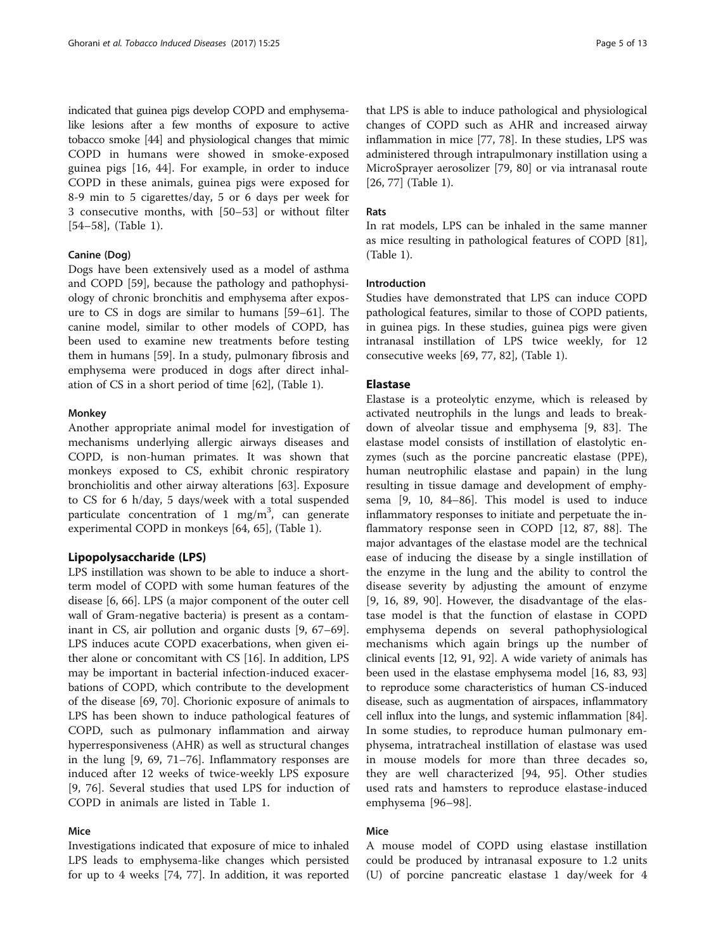indicated that guinea pigs develop COPD and emphysemalike lesions after a few months of exposure to active tobacco smoke [\[44](#page-10-0)] and physiological changes that mimic COPD in humans were showed in smoke-exposed guinea pigs [[16](#page-9-0), [44\]](#page-10-0). For example, in order to induce COPD in these animals, guinea pigs were exposed for 8-9 min to 5 cigarettes/day, 5 or 6 days per week for 3 consecutive months, with [[50](#page-10-0)–[53\]](#page-10-0) or without filter [[54](#page-10-0)–[58\]](#page-10-0), (Table [1](#page-2-0)).

#### Canine (Dog)

Dogs have been extensively used as a model of asthma and COPD [\[59](#page-10-0)], because the pathology and pathophysiology of chronic bronchitis and emphysema after exposure to CS in dogs are similar to humans [\[59](#page-10-0)–[61\]](#page-10-0). The canine model, similar to other models of COPD, has been used to examine new treatments before testing them in humans [[59](#page-10-0)]. In a study, pulmonary fibrosis and emphysema were produced in dogs after direct inhalation of CS in a short period of time [[62](#page-10-0)], (Table [1\)](#page-2-0).

#### Monkey

Another appropriate animal model for investigation of mechanisms underlying allergic airways diseases and COPD, is non-human primates. It was shown that monkeys exposed to CS, exhibit chronic respiratory bronchiolitis and other airway alterations [\[63\]](#page-10-0). Exposure to CS for 6 h/day, 5 days/week with a total suspended particulate concentration of 1 mg/m<sup>3</sup>, can generate experimental COPD in monkeys [[64, 65\]](#page-10-0), (Table [1](#page-2-0)).

### Lipopolysaccharide (LPS)

LPS instillation was shown to be able to induce a shortterm model of COPD with some human features of the disease [\[6](#page-9-0), [66](#page-10-0)]. LPS (a major component of the outer cell wall of Gram-negative bacteria) is present as a contaminant in CS, air pollution and organic dusts [[9,](#page-9-0) [67](#page-10-0)–[69](#page-10-0)]. LPS induces acute COPD exacerbations, when given either alone or concomitant with CS [[16\]](#page-9-0). In addition, LPS may be important in bacterial infection-induced exacerbations of COPD, which contribute to the development of the disease [\[69, 70](#page-10-0)]. Chorionic exposure of animals to LPS has been shown to induce pathological features of COPD, such as pulmonary inflammation and airway hyperresponsiveness (AHR) as well as structural changes in the lung [[9](#page-9-0), [69, 71](#page-10-0)–[76\]](#page-10-0). Inflammatory responses are induced after 12 weeks of twice-weekly LPS exposure [[9,](#page-9-0) [76](#page-10-0)]. Several studies that used LPS for induction of COPD in animals are listed in Table [1](#page-2-0).

#### Mice

Investigations indicated that exposure of mice to inhaled LPS leads to emphysema-like changes which persisted for up to 4 weeks [\[74](#page-10-0), [77](#page-10-0)]. In addition, it was reported

that LPS is able to induce pathological and physiological changes of COPD such as AHR and increased airway inflammation in mice [\[77, 78](#page-10-0)]. In these studies, LPS was administered through intrapulmonary instillation using a MicroSprayer aerosolizer [\[79](#page-10-0), [80\]](#page-10-0) or via intranasal route [[26,](#page-9-0) [77\]](#page-10-0) (Table [1\)](#page-2-0).

#### Rats

In rat models, LPS can be inhaled in the same manner as mice resulting in pathological features of COPD [\[81](#page-10-0)], (Table [1\)](#page-2-0).

#### Introduction

Studies have demonstrated that LPS can induce COPD pathological features, similar to those of COPD patients, in guinea pigs. In these studies, guinea pigs were given intranasal instillation of LPS twice weekly, for 12 consecutive weeks [[69, 77, 82](#page-10-0)], (Table [1\)](#page-2-0).

#### Elastase

Elastase is a proteolytic enzyme, which is released by activated neutrophils in the lungs and leads to breakdown of alveolar tissue and emphysema [\[9](#page-9-0), [83\]](#page-11-0). The elastase model consists of instillation of elastolytic enzymes (such as the porcine pancreatic elastase (PPE), human neutrophilic elastase and papain) in the lung resulting in tissue damage and development of emphysema [[9, 10,](#page-9-0) [84](#page-11-0)–[86\]](#page-11-0). This model is used to induce inflammatory responses to initiate and perpetuate the inflammatory response seen in COPD [\[12](#page-9-0), [87](#page-11-0), [88](#page-11-0)]. The major advantages of the elastase model are the technical ease of inducing the disease by a single instillation of the enzyme in the lung and the ability to control the disease severity by adjusting the amount of enzyme [[9, 16](#page-9-0), [89, 90](#page-11-0)]. However, the disadvantage of the elastase model is that the function of elastase in COPD emphysema depends on several pathophysiological mechanisms which again brings up the number of clinical events [\[12,](#page-9-0) [91](#page-11-0), [92](#page-11-0)]. A wide variety of animals has been used in the elastase emphysema model [[16](#page-9-0), [83, 93](#page-11-0)] to reproduce some characteristics of human CS-induced disease, such as augmentation of airspaces, inflammatory cell influx into the lungs, and systemic inflammation [[84](#page-11-0)]. In some studies, to reproduce human pulmonary emphysema, intratracheal instillation of elastase was used in mouse models for more than three decades so, they are well characterized [\[94](#page-11-0), [95](#page-11-0)]. Other studies used rats and hamsters to reproduce elastase-induced emphysema [[96](#page-11-0)–[98](#page-11-0)].

### Mice

A mouse model of COPD using elastase instillation could be produced by intranasal exposure to 1.2 units (U) of porcine pancreatic elastase 1 day/week for 4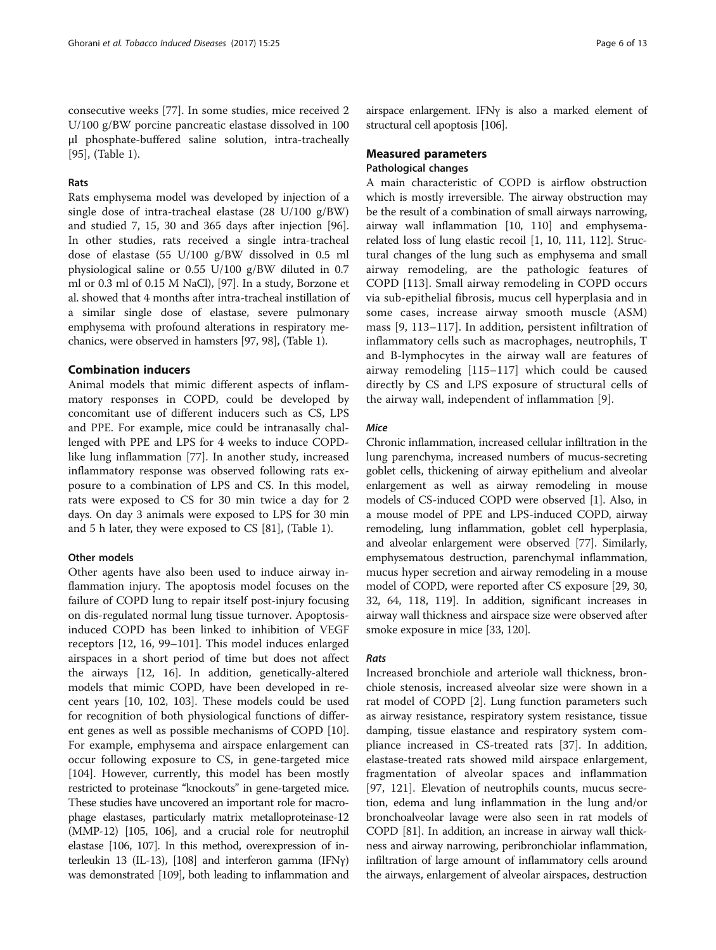### Rats

Rats emphysema model was developed by injection of a single dose of intra-tracheal elastase (28 U/100 g/BW) and studied 7, 15, 30 and 365 days after injection [\[96](#page-11-0)]. In other studies, rats received a single intra-tracheal dose of elastase (55 U/100 g/BW dissolved in 0.5 ml physiological saline or 0.55 U/100 g/BW diluted in 0.7 ml or 0.3 ml of 0.15 M NaCl), [\[97\]](#page-11-0). In a study, Borzone et al. showed that 4 months after intra-tracheal instillation of a similar single dose of elastase, severe pulmonary emphysema with profound alterations in respiratory mechanics, were observed in hamsters [\[97](#page-11-0), [98](#page-11-0)], (Table [1](#page-2-0)).

#### Combination inducers

Animal models that mimic different aspects of inflammatory responses in COPD, could be developed by concomitant use of different inducers such as CS, LPS and PPE. For example, mice could be intranasally challenged with PPE and LPS for 4 weeks to induce COPDlike lung inflammation [\[77\]](#page-10-0). In another study, increased inflammatory response was observed following rats exposure to a combination of LPS and CS. In this model, rats were exposed to CS for 30 min twice a day for 2 days. On day 3 animals were exposed to LPS for 30 min and 5 h later, they were exposed to CS [[81\]](#page-10-0), (Table [1\)](#page-2-0).

#### Other models

Other agents have also been used to induce airway inflammation injury. The apoptosis model focuses on the failure of COPD lung to repair itself post-injury focusing on dis-regulated normal lung tissue turnover. Apoptosisinduced COPD has been linked to inhibition of VEGF receptors [\[12, 16](#page-9-0), [99](#page-11-0)–[101](#page-11-0)]. This model induces enlarged airspaces in a short period of time but does not affect the airways [[12, 16](#page-9-0)]. In addition, genetically-altered models that mimic COPD, have been developed in recent years [[10](#page-9-0), [102, 103\]](#page-11-0). These models could be used for recognition of both physiological functions of different genes as well as possible mechanisms of COPD [\[10](#page-9-0)]. For example, emphysema and airspace enlargement can occur following exposure to CS, in gene-targeted mice [[104\]](#page-11-0). However, currently, this model has been mostly restricted to proteinase "knockouts" in gene-targeted mice. These studies have uncovered an important role for macrophage elastases, particularly matrix metalloproteinase-12 (MMP-12) [[105, 106](#page-11-0)], and a crucial role for neutrophil elastase [[106, 107](#page-11-0)]. In this method, overexpression of interleukin 13 (IL-13), [[108\]](#page-11-0) and interferon gamma (IFNγ) was demonstrated [\[109\]](#page-11-0), both leading to inflammation and airspace enlargement. IFNγ is also a marked element of structural cell apoptosis [\[106](#page-11-0)].

# Measured parameters

# Pathological changes

A main characteristic of COPD is airflow obstruction which is mostly irreversible. The airway obstruction may be the result of a combination of small airways narrowing, airway wall inflammation [\[10](#page-9-0), [110](#page-11-0)] and emphysemarelated loss of lung elastic recoil [\[1](#page-9-0), [10,](#page-9-0) [111, 112](#page-11-0)]. Structural changes of the lung such as emphysema and small airway remodeling, are the pathologic features of COPD [[113\]](#page-11-0). Small airway remodeling in COPD occurs via sub-epithelial fibrosis, mucus cell hyperplasia and in some cases, increase airway smooth muscle (ASM) mass [[9,](#page-9-0) [113](#page-11-0)–[117](#page-11-0)]. In addition, persistent infiltration of inflammatory cells such as macrophages, neutrophils, T and B-lymphocytes in the airway wall are features of airway remodeling [\[115](#page-11-0)–[117](#page-11-0)] which could be caused directly by CS and LPS exposure of structural cells of the airway wall, independent of inflammation [\[9](#page-9-0)].

#### Mice

Chronic inflammation, increased cellular infiltration in the lung parenchyma, increased numbers of mucus-secreting goblet cells, thickening of airway epithelium and alveolar enlargement as well as airway remodeling in mouse models of CS-induced COPD were observed [[1\]](#page-9-0). Also, in a mouse model of PPE and LPS-induced COPD, airway remodeling, lung inflammation, goblet cell hyperplasia, and alveolar enlargement were observed [[77](#page-10-0)]. Similarly, emphysematous destruction, parenchymal inflammation, mucus hyper secretion and airway remodeling in a mouse model of COPD, were reported after CS exposure [\[29, 30](#page-9-0), [32](#page-9-0), [64,](#page-10-0) [118](#page-11-0), [119](#page-11-0)]. In addition, significant increases in airway wall thickness and airspace size were observed after smoke exposure in mice [\[33,](#page-9-0) [120](#page-11-0)].

#### Rats

Increased bronchiole and arteriole wall thickness, bronchiole stenosis, increased alveolar size were shown in a rat model of COPD [\[2](#page-9-0)]. Lung function parameters such as airway resistance, respiratory system resistance, tissue damping, tissue elastance and respiratory system compliance increased in CS-treated rats [\[37](#page-9-0)]. In addition, elastase-treated rats showed mild airspace enlargement, fragmentation of alveolar spaces and inflammation [[97, 121](#page-11-0)]. Elevation of neutrophils counts, mucus secretion, edema and lung inflammation in the lung and/or bronchoalveolar lavage were also seen in rat models of COPD [[81\]](#page-10-0). In addition, an increase in airway wall thickness and airway narrowing, peribronchiolar inflammation, infiltration of large amount of inflammatory cells around the airways, enlargement of alveolar airspaces, destruction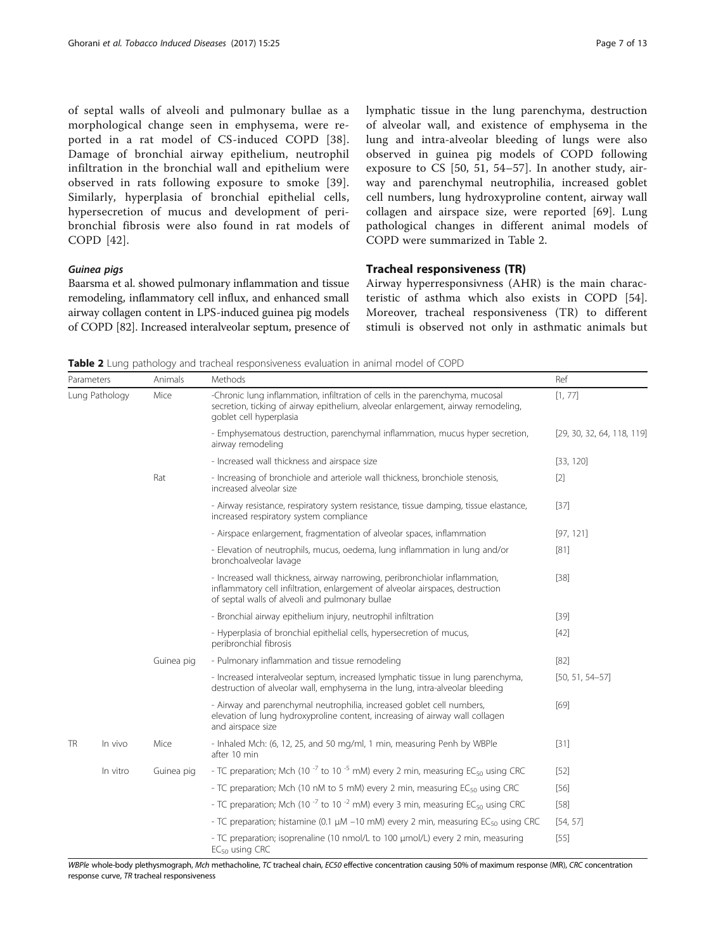<span id="page-6-0"></span>of septal walls of alveoli and pulmonary bullae as a morphological change seen in emphysema, were reported in a rat model of CS-induced COPD [[38](#page-10-0)]. Damage of bronchial airway epithelium, neutrophil infiltration in the bronchial wall and epithelium were observed in rats following exposure to smoke [[39](#page-10-0)]. Similarly, hyperplasia of bronchial epithelial cells, hypersecretion of mucus and development of peribronchial fibrosis were also found in rat models of COPD [[42\]](#page-10-0).

Baarsma et al. showed pulmonary inflammation and tissue remodeling, inflammatory cell influx, and enhanced small airway collagen content in LPS-induced guinea pig models of COPD [[82](#page-10-0)]. Increased interalveolar septum, presence of lymphatic tissue in the lung parenchyma, destruction of alveolar wall, and existence of emphysema in the lung and intra-alveolar bleeding of lungs were also observed in guinea pig models of COPD following exposure to CS [[50](#page-10-0), [51](#page-10-0), [54](#page-10-0)–[57\]](#page-10-0). In another study, airway and parenchymal neutrophilia, increased goblet cell numbers, lung hydroxyproline content, airway wall collagen and airspace size, were reported [\[69](#page-10-0)]. Lung pathological changes in different animal models of COPD were summarized in Table 2.

# Tracheal responsiveness (TR)

Airway hyperresponsivness (AHR) is the main characteristic of asthma which also exists in COPD [\[54](#page-10-0)]. Moreover, tracheal responsiveness (TR) to different stimuli is observed not only in asthmatic animals but

Table 2 Lung pathology and tracheal responsiveness evaluation in animal model of COPD

| Parameters     |          | Animals    | Methods                                                                                                                                                                                                          | Ref                        |
|----------------|----------|------------|------------------------------------------------------------------------------------------------------------------------------------------------------------------------------------------------------------------|----------------------------|
| Lung Pathology |          | Mice       | -Chronic lung inflammation, infiltration of cells in the parenchyma, mucosal<br>secretion, ticking of airway epithelium, alveolar enlargement, airway remodeling,<br>goblet cell hyperplasia                     | [1, 77]                    |
|                |          |            | - Emphysematous destruction, parenchymal inflammation, mucus hyper secretion,<br>airway remodeling                                                                                                               | [29, 30, 32, 64, 118, 119] |
|                |          |            | - Increased wall thickness and airspace size                                                                                                                                                                     | [33, 120]                  |
|                |          | Rat        | - Increasing of bronchiole and arteriole wall thickness, bronchiole stenosis,<br>increased alveolar size                                                                                                         | $[2]$                      |
|                |          |            | - Airway resistance, respiratory system resistance, tissue damping, tissue elastance,<br>increased respiratory system compliance                                                                                 | $[37]$                     |
|                |          |            | - Airspace enlargement, fragmentation of alveolar spaces, inflammation                                                                                                                                           | [97, 121]                  |
|                |          |            | - Elevation of neutrophils, mucus, oedema, lung inflammation in lung and/or<br>bronchoalveolar lavage                                                                                                            | [81]                       |
|                |          |            | - Increased wall thickness, airway narrowing, peribronchiolar inflammation,<br>inflammatory cell infiltration, enlargement of alveolar airspaces, destruction<br>of septal walls of alveoli and pulmonary bullae | $[38]$                     |
|                |          |            | - Bronchial airway epithelium injury, neutrophil infiltration                                                                                                                                                    | $[39]$                     |
|                |          |            | - Hyperplasia of bronchial epithelial cells, hypersecretion of mucus,<br>peribronchial fibrosis                                                                                                                  | $[42]$                     |
|                |          | Guinea pig | - Pulmonary inflammation and tissue remodeling                                                                                                                                                                   | $[82]$                     |
|                |          |            | - Increased interalveolar septum, increased lymphatic tissue in lung parenchyma,<br>destruction of alveolar wall, emphysema in the lung, intra-alveolar bleeding                                                 | $[50, 51, 54-57]$          |
|                |          |            | - Airway and parenchymal neutrophilia, increased goblet cell numbers,<br>elevation of lung hydroxyproline content, increasing of airway wall collagen<br>and airspace size                                       | [69]                       |
| <b>TR</b>      | In vivo  | Mice       | - Inhaled Mch: (6, 12, 25, and 50 mg/ml, 1 min, measuring Penh by WBPle<br>after 10 min                                                                                                                          | $[31]$                     |
|                | In vitro | Guinea pig | - TC preparation; Mch (10 $^{-7}$ to 10 $^{-5}$ mM) every 2 min, measuring EC <sub>50</sub> using CRC                                                                                                            | $[52]$                     |
|                |          |            | - TC preparation; Mch (10 nM to 5 mM) every 2 min, measuring EC <sub>50</sub> using CRC                                                                                                                          | $[56]$                     |
|                |          |            | - TC preparation; Mch (10 $^{-7}$ to 10 $^{-2}$ mM) every 3 min, measuring EC <sub>50</sub> using CRC                                                                                                            | $[58]$                     |
|                |          |            | - TC preparation; histamine (0.1 µM -10 mM) every 2 min, measuring EC <sub>50</sub> using CRC                                                                                                                    | [54, 57]                   |
|                |          |            | - TC preparation; isoprenaline (10 nmol/L to 100 µmol/L) every 2 min, measuring<br>$EC_{50}$ using CRC                                                                                                           | $[55]$                     |

WBPle whole-body plethysmograph, Mch methacholine, TC tracheal chain, EC50 effective concentration causing 50% of maximum response (MR), CRC concentration response curve, TR tracheal responsiveness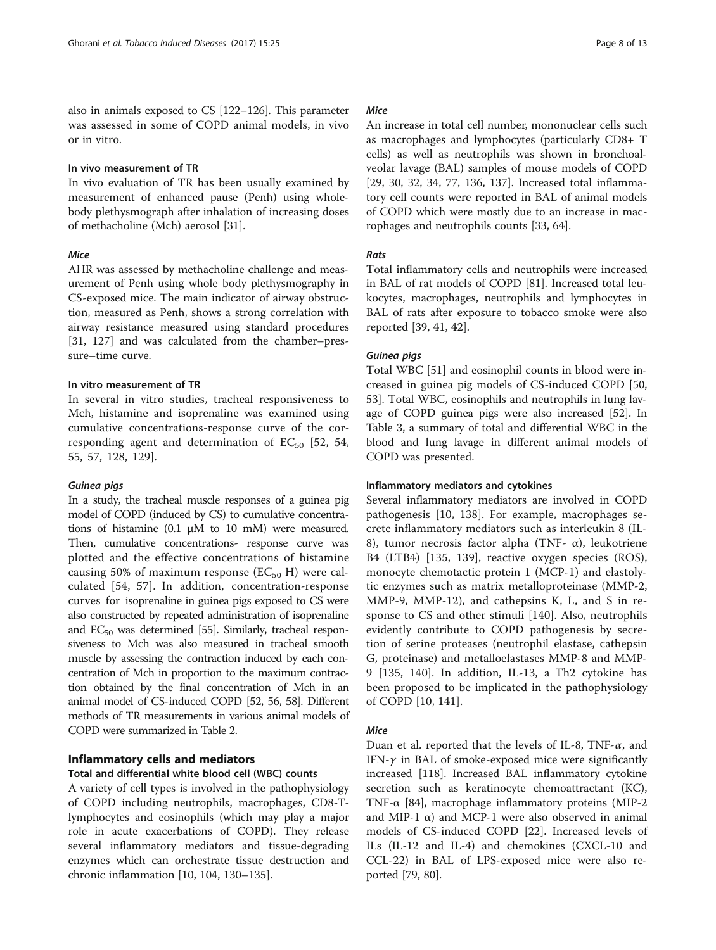also in animals exposed to CS [\[122](#page-11-0)–[126](#page-11-0)]. This parameter was assessed in some of COPD animal models, in vivo or in vitro.

### In vivo measurement of TR

In vivo evaluation of TR has been usually examined by measurement of enhanced pause (Penh) using wholebody plethysmograph after inhalation of increasing doses of methacholine (Mch) aerosol [\[31\]](#page-9-0).

#### Mice

AHR was assessed by methacholine challenge and measurement of Penh using whole body plethysmography in CS-exposed mice. The main indicator of airway obstruction, measured as Penh, shows a strong correlation with airway resistance measured using standard procedures [[31,](#page-9-0) [127\]](#page-11-0) and was calculated from the chamber–pressure–time curve.

#### In vitro measurement of TR

In several in vitro studies, tracheal responsiveness to Mch, histamine and isoprenaline was examined using cumulative concentrations-response curve of the corresponding agent and determination of  $EC_{50}$  [\[52](#page-10-0), [54](#page-10-0), [55, 57,](#page-10-0) [128,](#page-11-0) [129](#page-12-0)].

In a study, the tracheal muscle responses of a guinea pig model of COPD (induced by CS) to cumulative concentrations of histamine (0.1 μM to 10 mM) were measured. Then, cumulative concentrations- response curve was plotted and the effective concentrations of histamine causing 50% of maximum response ( $EC_{50}$  H) were calculated [[54](#page-10-0), [57\]](#page-10-0). In addition, concentration-response curves for isoprenaline in guinea pigs exposed to CS were also constructed by repeated administration of isoprenaline and  $EC_{50}$  was determined [\[55](#page-10-0)]. Similarly, tracheal responsiveness to Mch was also measured in tracheal smooth muscle by assessing the contraction induced by each concentration of Mch in proportion to the maximum contraction obtained by the final concentration of Mch in an animal model of CS-induced COPD [\[52](#page-10-0), [56](#page-10-0), [58](#page-10-0)]. Different methods of TR measurements in various animal models of COPD were summarized in Table [2](#page-6-0).

#### Inflammatory cells and mediators

#### Total and differential white blood cell (WBC) counts

A variety of cell types is involved in the pathophysiology of COPD including neutrophils, macrophages, CD8-Tlymphocytes and eosinophils (which may play a major role in acute exacerbations of COPD). They release several inflammatory mediators and tissue-degrading enzymes which can orchestrate tissue destruction and chronic inflammation [\[10](#page-9-0), [104](#page-11-0), [130](#page-12-0)–[135\]](#page-12-0).

#### Mice

An increase in total cell number, mononuclear cells such as macrophages and lymphocytes (particularly CD8+ T cells) as well as neutrophils was shown in bronchoalveolar lavage (BAL) samples of mouse models of COPD [[29, 30](#page-9-0), [32](#page-9-0), [34](#page-9-0), [77,](#page-10-0) [136](#page-12-0), [137](#page-12-0)]. Increased total inflammatory cell counts were reported in BAL of animal models of COPD which were mostly due to an increase in macrophages and neutrophils counts [\[33,](#page-9-0) [64\]](#page-10-0).

#### Rats

Total inflammatory cells and neutrophils were increased in BAL of rat models of COPD [\[81](#page-10-0)]. Increased total leukocytes, macrophages, neutrophils and lymphocytes in BAL of rats after exposure to tobacco smoke were also reported [[39, 41](#page-10-0), [42](#page-10-0)].

Total WBC [\[51](#page-10-0)] and eosinophil counts in blood were increased in guinea pig models of CS-induced COPD [[50](#page-10-0), [53\]](#page-10-0). Total WBC, eosinophils and neutrophils in lung lavage of COPD guinea pigs were also increased [\[52\]](#page-10-0). In Table [3](#page-8-0), a summary of total and differential WBC in the blood and lung lavage in different animal models of COPD was presented.

#### Inflammatory mediators and cytokines

Several inflammatory mediators are involved in COPD pathogenesis [[10,](#page-9-0) [138\]](#page-12-0). For example, macrophages secrete inflammatory mediators such as interleukin 8 (IL-8), tumor necrosis factor alpha (TNF- α), leukotriene B4 (LTB4) [[135, 139\]](#page-12-0), reactive oxygen species (ROS), monocyte chemotactic protein 1 (MCP-1) and elastolytic enzymes such as matrix metalloproteinase (MMP-2, MMP-9, MMP-12), and cathepsins K, L, and S in response to CS and other stimuli [[140\]](#page-12-0). Also, neutrophils evidently contribute to COPD pathogenesis by secretion of serine proteases (neutrophil elastase, cathepsin G, proteinase) and metalloelastases MMP-8 and MMP-9 [\[135](#page-12-0), [140\]](#page-12-0). In addition, IL-13, a Th2 cytokine has been proposed to be implicated in the pathophysiology of COPD [\[10](#page-9-0), [141\]](#page-12-0).

#### Mice

Duan et al. reported that the levels of IL-8, TNF- $\alpha$ , and IFN- $\gamma$  in BAL of smoke-exposed mice were significantly increased [\[118](#page-11-0)]. Increased BAL inflammatory cytokine secretion such as keratinocyte chemoattractant (KC), TNF-α [[84\]](#page-11-0), macrophage inflammatory proteins (MIP-2 and MIP-1  $\alpha$ ) and MCP-1 were also observed in animal models of CS-induced COPD [[22](#page-9-0)]. Increased levels of ILs (IL-12 and IL-4) and chemokines (CXCL-10 and CCL-22) in BAL of LPS-exposed mice were also reported [[79](#page-10-0), [80](#page-10-0)].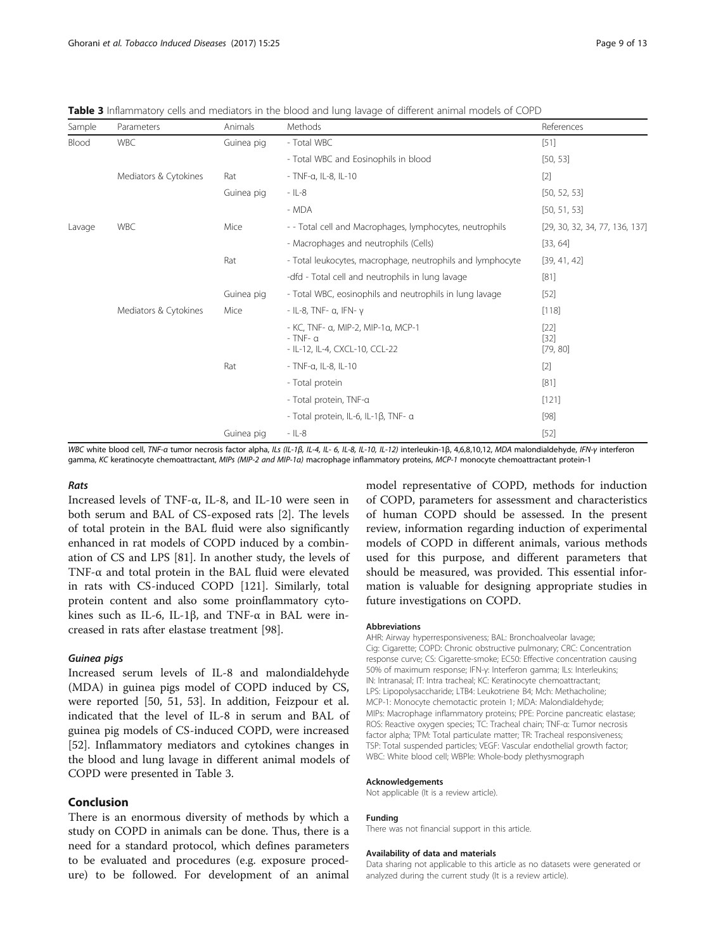<span id="page-8-0"></span>

| <b>Table 3</b> Inflammatory cells and mediators in the blood and lung lavage of different animal models of COPD |  |  |  |
|-----------------------------------------------------------------------------------------------------------------|--|--|--|
|                                                                                                                 |  |  |  |

| Sample | Parameters            | Animals    | Methods                                                                                   | References                     |
|--------|-----------------------|------------|-------------------------------------------------------------------------------------------|--------------------------------|
| Blood  | <b>WBC</b>            | Guinea pig | - Total WBC                                                                               | $[51]$                         |
|        |                       |            | - Total WBC and Eosinophils in blood                                                      | [50, 53]                       |
|        | Mediators & Cytokines | Rat        | - TNF-a, IL-8, IL-10                                                                      | $[2]$                          |
|        |                       | Guinea pig | $-IL-8$                                                                                   | [50, 52, 53]                   |
|        |                       |            | - MDA                                                                                     | [50, 51, 53]                   |
| Lavage | <b>WBC</b>            | Mice       | - - Total cell and Macrophages, lymphocytes, neutrophils                                  | [29, 30, 32, 34, 77, 136, 137] |
|        |                       |            | - Macrophages and neutrophils (Cells)                                                     | [33, 64]                       |
|        |                       | Rat        | - Total leukocytes, macrophage, neutrophils and lymphocyte                                | [39, 41, 42]                   |
|        |                       |            | -dfd - Total cell and neutrophils in lung lavage                                          | $[81]$                         |
|        |                       | Guinea pig | - Total WBC, eosinophils and neutrophils in lung lavage                                   | $[52]$                         |
|        | Mediators & Cytokines | Mice       | $-$ IL-8, TNF- $\alpha$ , IFN- $\gamma$                                                   | [118]                          |
|        |                       |            | - KC, TNF- α, MIP-2, MIP-1α, MCP-1<br>$-$ TNF- $\alpha$<br>- IL-12, IL-4, CXCL-10, CCL-22 | $[22]$<br>$[32]$<br>[79, 80]   |
|        |                       | Rat        | - TNF-α, IL-8, IL-10                                                                      | $[2]$                          |
|        |                       |            | - Total protein                                                                           | $[81]$                         |
|        |                       |            | - Total protein, TNF-a                                                                    | [121]                          |
|        |                       |            | - Total protein, IL-6, IL-1β, TNF- α                                                      | $[98]$                         |
|        |                       | Guinea pig | $-IL-8$                                                                                   | $[52]$                         |

WBC white blood cell, TNF-a tumor necrosis factor alpha, ILs (IL-18, IL-4, IL-6, IL-8, IL-10, IL-12) interleukin-18, 4,6,8,10,12, MDA malondialdehyde, IFN-y interferon gamma, KC keratinocyte chemoattractant, MIPs (MIP-2 and MIP-1α) macrophage inflammatory proteins, MCP-1 monocyte chemoattractant protein-1

#### Rats

Increased levels of TNF-α, IL-8, and IL-10 were seen in both serum and BAL of CS-exposed rats [[2](#page-9-0)]. The levels of total protein in the BAL fluid were also significantly enhanced in rat models of COPD induced by a combination of CS and LPS [[81\]](#page-10-0). In another study, the levels of TNF-α and total protein in the BAL fluid were elevated in rats with CS-induced COPD [\[121\]](#page-11-0). Similarly, total protein content and also some proinflammatory cytokines such as IL-6, IL-1β, and TNF-α in BAL were increased in rats after elastase treatment [[98](#page-11-0)].

Increased serum levels of IL-8 and malondialdehyde (MDA) in guinea pigs model of COPD induced by CS, were reported [\[50, 51](#page-10-0), [53\]](#page-10-0). In addition, Feizpour et al. indicated that the level of IL-8 in serum and BAL of guinea pig models of CS-induced COPD, were increased [[52\]](#page-10-0). Inflammatory mediators and cytokines changes in the blood and lung lavage in different animal models of COPD were presented in Table 3.

#### Conclusion

There is an enormous diversity of methods by which a study on COPD in animals can be done. Thus, there is a need for a standard protocol, which defines parameters to be evaluated and procedures (e.g. exposure procedure) to be followed. For development of an animal model representative of COPD, methods for induction of COPD, parameters for assessment and characteristics of human COPD should be assessed. In the present review, information regarding induction of experimental models of COPD in different animals, various methods used for this purpose, and different parameters that should be measured, was provided. This essential information is valuable for designing appropriate studies in future investigations on COPD.

#### Abbreviations

AHR: Airway hyperresponsiveness; BAL: Bronchoalveolar lavage; Cig: Cigarette; COPD: Chronic obstructive pulmonary; CRC: Concentration response curve; CS: Cigarette-smoke; EC50: Effective concentration causing 50% of maximum response; IFN-γ: Interferon gamma; ILs: Interleukins; IN: Intranasal; IT: Intra tracheal; KC: Keratinocyte chemoattractant; LPS: Lipopolysaccharide; LTB4: Leukotriene B4; Mch: Methacholine; MCP-1: Monocyte chemotactic protein 1; MDA: Malondialdehyde; MIPs: Macrophage inflammatory proteins; PPE: Porcine pancreatic elastase; ROS: Reactive oxygen species; TC: Tracheal chain; TNF-α: Tumor necrosis factor alpha; TPM: Total particulate matter; TR: Tracheal responsiveness; TSP: Total suspended particles; VEGF: Vascular endothelial growth factor; WBC: White blood cell; WBPle: Whole-body plethysmograph

#### Acknowledgements

Not applicable (It is a review article).

#### Funding

There was not financial support in this article.

#### Availability of data and materials

Data sharing not applicable to this article as no datasets were generated or analyzed during the current study (It is a review article).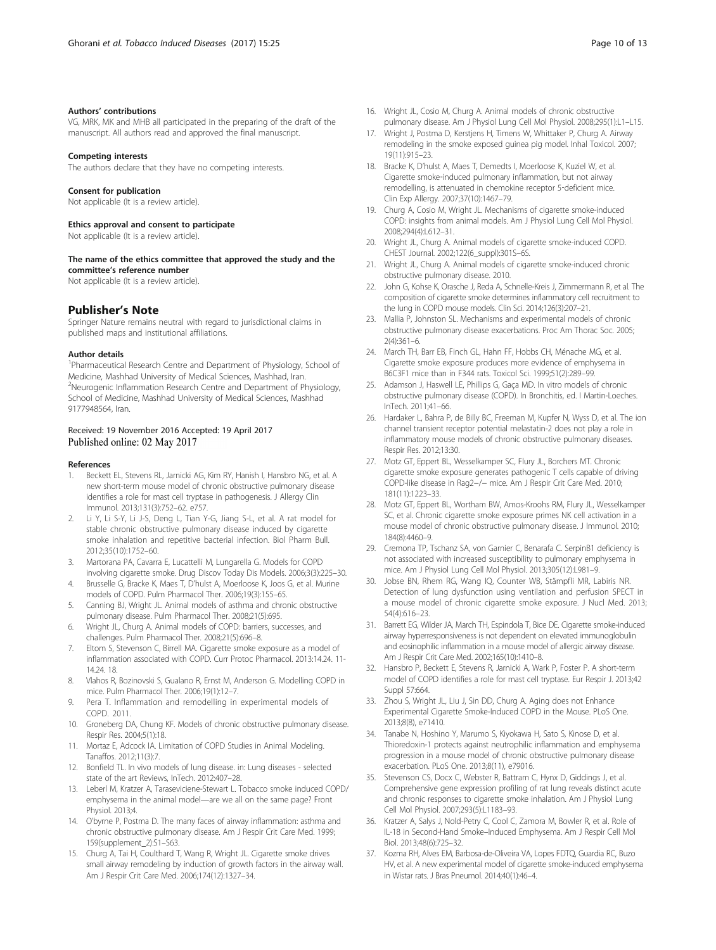#### <span id="page-9-0"></span>Authors' contributions

VG, MRK, MK and MHB all participated in the preparing of the draft of the manuscript. All authors read and approved the final manuscript.

#### Competing interests

The authors declare that they have no competing interests.

#### Consent for publication

Not applicable (It is a review article).

#### Ethics approval and consent to participate

Not applicable (It is a review article).

#### The name of the ethics committee that approved the study and the committee's reference number

Not applicable (It is a review article).

#### Publisher's Note

Springer Nature remains neutral with regard to jurisdictional claims in published maps and institutional affiliations.

#### Author details

<sup>1</sup>Pharmaceutical Research Centre and Department of Physiology, School of Medicine, Mashhad University of Medical Sciences, Mashhad, Iran. <sup>2</sup>Neurogenic Inflammation Research Centre and Department of Physiology, School of Medicine, Mashhad University of Medical Sciences, Mashhad 9177948564, Iran.

#### Received: 19 November 2016 Accepted: 19 April 2017 Published online: 02 May 2017

#### References

- Beckett EL, Stevens RL, Jarnicki AG, Kim RY, Hanish I, Hansbro NG, et al. A new short-term mouse model of chronic obstructive pulmonary disease identifies a role for mast cell tryptase in pathogenesis. J Allergy Clin Immunol. 2013;131(3):752–62. e757.
- 2. Li Y, Li S-Y, Li J-S, Deng L, Tian Y-G, Jiang S-L, et al. A rat model for stable chronic obstructive pulmonary disease induced by cigarette smoke inhalation and repetitive bacterial infection. Biol Pharm Bull. 2012;35(10):1752–60.
- 3. Martorana PA, Cavarra E, Lucattelli M, Lungarella G. Models for COPD involving cigarette smoke. Drug Discov Today Dis Models. 2006;3(3):225–30.
- 4. Brusselle G, Bracke K, Maes T, D'hulst A, Moerloose K, Joos G, et al. Murine models of COPD. Pulm Pharmacol Ther. 2006;19(3):155–65.
- 5. Canning BJ, Wright JL. Animal models of asthma and chronic obstructive pulmonary disease. Pulm Pharmacol Ther. 2008;21(5):695.
- 6. Wright JL, Churg A. Animal models of COPD: barriers, successes, and challenges. Pulm Pharmacol Ther. 2008;21(5):696–8.
- 7. Eltom S, Stevenson C, Birrell MA. Cigarette smoke exposure as a model of inflammation associated with COPD. Curr Protoc Pharmacol. 2013:14.24. 11- 14.24. 18.
- 8. Vlahos R, Bozinovski S, Gualano R, Ernst M, Anderson G. Modelling COPD in mice. Pulm Pharmacol Ther. 2006;19(1):12–7.
- 9. Pera T. Inflammation and remodelling in experimental models of COPD. 2011.
- 10. Groneberg DA, Chung KF. Models of chronic obstructive pulmonary disease. Respir Res. 2004;5(1):18.
- 11. Mortaz E, Adcock IA. Limitation of COPD Studies in Animal Modeling. Tanaffos. 2012;11(3):7.
- 12. Bonfield TL. In vivo models of lung disease. in: Lung diseases selected state of the art Reviews, InTech. 2012:407–28.
- 13. Leberl M, Kratzer A, Taraseviciene-Stewart L. Tobacco smoke induced COPD/ emphysema in the animal model—are we all on the same page? Front Physiol. 2013;4.
- 14. O'byrne P, Postma D. The many faces of airway inflammation: asthma and chronic obstructive pulmonary disease. Am J Respir Crit Care Med. 1999; 159(supplement\_2):S1–S63.
- 15. Churg A, Tai H, Coulthard T, Wang R, Wright JL. Cigarette smoke drives small airway remodeling by induction of growth factors in the airway wall. Am J Respir Crit Care Med. 2006;174(12):1327–34.
- 16. Wright JL, Cosio M, Churg A. Animal models of chronic obstructive pulmonary disease. Am J Physiol Lung Cell Mol Physiol. 2008;295(1):L1–L15.
- 17. Wright J, Postma D, Kerstjens H, Timens W, Whittaker P, Churg A. Airway remodeling in the smoke exposed guinea pig model. Inhal Toxicol. 2007; 19(11):915–23.
- 18. Bracke K, D'hulst A, Maes T, Demedts I, Moerloose K, Kuziel W, et al. Cigarette smoke‐induced pulmonary inflammation, but not airway remodelling, is attenuated in chemokine receptor 5‐deficient mice. Clin Exp Allergy. 2007;37(10):1467–79.
- 19. Churg A, Cosio M, Wright JL. Mechanisms of cigarette smoke-induced COPD: insights from animal models. Am J Physiol Lung Cell Mol Physiol. 2008;294(4):L612–31.
- 20. Wright JL, Churg A. Animal models of cigarette smoke-induced COPD. CHEST Journal. 2002;122(6\_suppl):301S–6S.
- 21. Wright JL, Churg A. Animal models of cigarette smoke-induced chronic obstructive pulmonary disease. 2010.
- 22. John G, Kohse K, Orasche J, Reda A, Schnelle-Kreis J, Zimmermann R, et al. The composition of cigarette smoke determines inflammatory cell recruitment to the lung in COPD mouse models. Clin Sci. 2014;126(3):207–21.
- 23. Mallia P, Johnston SL. Mechanisms and experimental models of chronic obstructive pulmonary disease exacerbations. Proc Am Thorac Soc. 2005; 2(4):361–6.
- 24. March TH, Barr EB, Finch GL, Hahn FF, Hobbs CH, Ménache MG, et al. Cigarette smoke exposure produces more evidence of emphysema in B6C3F1 mice than in F344 rats. Toxicol Sci. 1999;51(2):289–99.
- 25. Adamson J, Haswell LE, Phillips G, Gaça MD. In vitro models of chronic obstructive pulmonary disease (COPD). In Bronchitis, ed. I Martin-Loeches. InTech. 2011;41–66.
- 26. Hardaker L, Bahra P, de Billy BC, Freeman M, Kupfer N, Wyss D, et al. The ion channel transient receptor potential melastatin-2 does not play a role in inflammatory mouse models of chronic obstructive pulmonary diseases. Respir Res. 2012;13:30.
- 27. Motz GT, Eppert BL, Wesselkamper SC, Flury JL, Borchers MT. Chronic cigarette smoke exposure generates pathogenic T cells capable of driving COPD-like disease in Rag2−/− mice. Am J Respir Crit Care Med. 2010; 181(11):1223–33.
- 28. Motz GT, Eppert BL, Wortham BW, Amos-Kroohs RM, Flury JL, Wesselkamper SC, et al. Chronic cigarette smoke exposure primes NK cell activation in a mouse model of chronic obstructive pulmonary disease. J Immunol. 2010; 184(8):4460–9.
- 29. Cremona TP, Tschanz SA, von Garnier C, Benarafa C. SerpinB1 deficiency is not associated with increased susceptibility to pulmonary emphysema in mice. Am J Physiol Lung Cell Mol Physiol. 2013;305(12):L981–9.
- 30. Jobse BN, Rhem RG, Wang IQ, Counter WB, Stämpfli MR, Labiris NR. Detection of lung dysfunction using ventilation and perfusion SPECT in a mouse model of chronic cigarette smoke exposure. J Nucl Med. 2013; 54(4):616–23.
- 31. Barrett EG, Wilder JA, March TH, Espindola T, Bice DE. Cigarette smoke-induced airway hyperresponsiveness is not dependent on elevated immunoglobulin and eosinophilic inflammation in a mouse model of allergic airway disease. Am J Respir Crit Care Med. 2002;165(10):1410–8.
- 32. Hansbro P, Beckett E, Stevens R, Jarnicki A, Wark P, Foster P. A short-term model of COPD identifies a role for mast cell tryptase. Eur Respir J. 2013;42 Suppl 57:664.
- 33. Zhou S, Wright JL, Liu J, Sin DD, Churg A. Aging does not Enhance Experimental Cigarette Smoke-Induced COPD in the Mouse. PLoS One. 2013;8(8), e71410.
- 34. Tanabe N, Hoshino Y, Marumo S, Kiyokawa H, Sato S, Kinose D, et al. Thioredoxin-1 protects against neutrophilic inflammation and emphysema progression in a mouse model of chronic obstructive pulmonary disease exacerbation. PLoS One. 2013;8(11), e79016.
- 35. Stevenson CS, Docx C, Webster R, Battram C, Hynx D, Giddings J, et al. Comprehensive gene expression profiling of rat lung reveals distinct acute and chronic responses to cigarette smoke inhalation. Am J Physiol Lung Cell Mol Physiol. 2007;293(5):L1183–93.
- 36. Kratzer A, Salys J, Nold-Petry C, Cool C, Zamora M, Bowler R, et al. Role of IL-18 in Second-Hand Smoke–Induced Emphysema. Am J Respir Cell Mol Biol. 2013;48(6):725–32.
- 37. Kozma RH, Alves EM, Barbosa-de-Oliveira VA, Lopes FDTQ, Guardia RC, Buzo HV, et al. A new experimental model of cigarette smoke-induced emphysema in Wistar rats. J Bras Pneumol. 2014;40(1):46–4.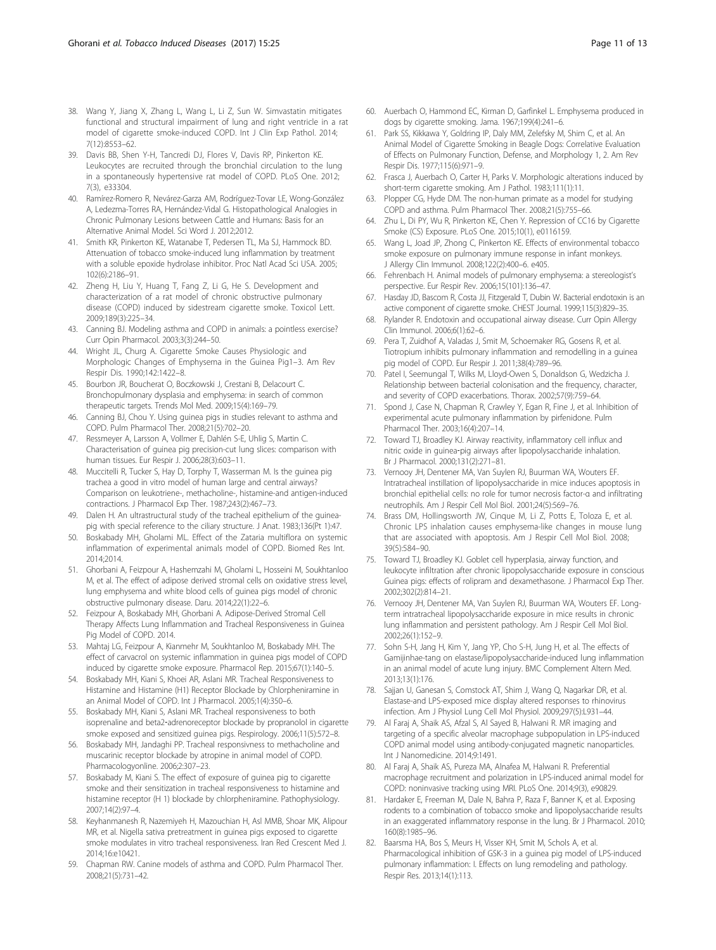- <span id="page-10-0"></span>38. Wang Y, Jiang X, Zhang L, Wang L, Li Z, Sun W. Simvastatin mitigates functional and structural impairment of lung and right ventricle in a rat model of cigarette smoke-induced COPD. Int J Clin Exp Pathol. 2014; 7(12):8553–62.
- 39. Davis BB, Shen Y-H, Tancredi DJ, Flores V, Davis RP, Pinkerton KE. Leukocytes are recruited through the bronchial circulation to the lung in a spontaneously hypertensive rat model of COPD. PLoS One. 2012; 7(3), e33304.
- 40. Ramírez-Romero R, Nevárez-Garza AM, Rodríguez-Tovar LE, Wong-González A, Ledezma-Torres RA, Hernández-Vidal G. Histopathological Analogies in Chronic Pulmonary Lesions between Cattle and Humans: Basis for an Alternative Animal Model. Sci Word J. 2012;2012.
- 41. Smith KR, Pinkerton KE, Watanabe T, Pedersen TL, Ma SJ, Hammock BD. Attenuation of tobacco smoke-induced lung inflammation by treatment with a soluble epoxide hydrolase inhibitor. Proc Natl Acad Sci USA. 2005; 102(6):2186–91.
- 42. Zheng H, Liu Y, Huang T, Fang Z, Li G, He S. Development and characterization of a rat model of chronic obstructive pulmonary disease (COPD) induced by sidestream cigarette smoke. Toxicol Lett. 2009;189(3):225–34.
- 43. Canning BJ. Modeling asthma and COPD in animals: a pointless exercise? Curr Opin Pharmacol. 2003;3(3):244–50.
- 44. Wright JL, Churg A. Cigarette Smoke Causes Physiologic and Morphologic Changes of Emphysema in the Guinea Pig1–3. Am Rev Respir Dis. 1990;142:1422–8.
- 45. Bourbon JR, Boucherat O, Boczkowski J, Crestani B, Delacourt C. Bronchopulmonary dysplasia and emphysema: in search of common therapeutic targets. Trends Mol Med. 2009;15(4):169–79.
- 46. Canning BJ, Chou Y. Using guinea pigs in studies relevant to asthma and COPD. Pulm Pharmacol Ther. 2008;21(5):702–20.
- 47. Ressmeyer A, Larsson A, Vollmer E, Dahlén S-E, Uhlig S, Martin C. Characterisation of guinea pig precision-cut lung slices: comparison with human tissues. Eur Respir J. 2006;28(3):603–11.
- 48. Muccitelli R, Tucker S, Hay D, Torphy T, Wasserman M. Is the guinea pig trachea a good in vitro model of human large and central airways? Comparison on leukotriene-, methacholine-, histamine-and antigen-induced contractions. J Pharmacol Exp Ther. 1987;243(2):467–73.
- 49. Dalen H. An ultrastructural study of the tracheal epithelium of the guineapig with special reference to the ciliary structure. J Anat. 1983;136(Pt 1):47.
- 50. Boskabady MH, Gholami ML. Effect of the Zataria multiflora on systemic inflammation of experimental animals model of COPD. Biomed Res Int. 2014;2014.
- 51. Ghorbani A, Feizpour A, Hashemzahi M, Gholami L, Hosseini M, Soukhtanloo M, et al. The effect of adipose derived stromal cells on oxidative stress level, lung emphysema and white blood cells of guinea pigs model of chronic obstructive pulmonary disease. Daru. 2014;22(1):22–6.
- 52. Feizpour A, Boskabady MH, Ghorbani A. Adipose-Derived Stromal Cell Therapy Affects Lung Inflammation and Tracheal Responsiveness in Guinea Pig Model of COPD. 2014.
- 53. Mahtaj LG, Feizpour A, Kianmehr M, Soukhtanloo M, Boskabady MH. The effect of carvacrol on systemic inflammation in guinea pigs model of COPD induced by cigarette smoke exposure. Pharmacol Rep. 2015;67(1):140–5.
- 54. Boskabady MH, Kiani S, Khoei AR, Aslani MR. Tracheal Responsiveness to Histamine and Histamine (H1) Receptor Blockade by Chlorpheniramine in an Animal Model of COPD. Int J Pharmacol. 2005;1(4):350–6.
- 55. Boskabady MH, Kiani S, Aslani MR. Tracheal responsiveness to both isoprenaline and beta2‐adrenoreceptor blockade by propranolol in cigarette smoke exposed and sensitized guinea pigs. Respirology. 2006;11(5):572–8.
- 56. Boskabady MH, Jandaghi PP. Tracheal responsivness to methacholine and muscarinic receptor blockade by atropine in animal model of COPD. Pharmacologyonline. 2006;2:307–23.
- 57. Boskabady M, Kiani S. The effect of exposure of guinea pig to cigarette smoke and their sensitization in tracheal responsiveness to histamine and histamine receptor (H 1) blockade by chlorpheniramine. Pathophysiology. 2007;14(2):97–4.
- 58. Keyhanmanesh R, Nazemiyeh H, Mazouchian H, Asl MMB, Shoar MK, Alipour MR, et al. Nigella sativa pretreatment in guinea pigs exposed to cigarette smoke modulates in vitro tracheal responsiveness. Iran Red Crescent Med J. 2014;16:e10421.
- 59. Chapman RW. Canine models of asthma and COPD. Pulm Pharmacol Ther. 2008;21(5):731–42.
- 60. Auerbach O, Hammond EC, Kirman D, Garfinkel L. Emphysema produced in dogs by cigarette smoking. Jama. 1967;199(4):241–6.
- 61. Park SS, Kikkawa Y, Goldring IP, Daly MM, Zelefsky M, Shim C, et al. An Animal Model of Cigarette Smoking in Beagle Dogs: Correlative Evaluation of Effects on Pulmonary Function, Defense, and Morphology 1, 2. Am Rev Respir Dis. 1977;115(6):971–9.
- 62. Frasca J, Auerbach O, Carter H, Parks V. Morphologic alterations induced by short-term cigarette smoking. Am J Pathol. 1983;111(1):11.
- 63. Plopper CG, Hyde DM. The non-human primate as a model for studying COPD and asthma. Pulm Pharmacol Ther. 2008;21(5):755–66.
- 64. Zhu L, Di PY, Wu R, Pinkerton KE, Chen Y. Repression of CC16 by Cigarette Smoke (CS) Exposure. PLoS One. 2015;10(1), e0116159.
- 65. Wang L, Joad JP, Zhong C, Pinkerton KE. Effects of environmental tobacco smoke exposure on pulmonary immune response in infant monkeys. J Allergy Clin Immunol. 2008;122(2):400–6. e405.
- 66. Fehrenbach H. Animal models of pulmonary emphysema: a stereologist's perspective. Eur Respir Rev. 2006;15(101):136–47.
- 67. Hasday JD, Bascom R, Costa JJ, Fitzgerald T, Dubin W. Bacterial endotoxin is an active component of cigarette smoke. CHEST Journal. 1999;115(3):829–35.
- 68. Rylander R. Endotoxin and occupational airway disease. Curr Opin Allergy Clin Immunol. 2006;6(1):62–6.
- 69. Pera T, Zuidhof A, Valadas J, Smit M, Schoemaker RG, Gosens R, et al. Tiotropium inhibits pulmonary inflammation and remodelling in a guinea pig model of COPD. Eur Respir J. 2011;38(4):789–96.
- 70. Patel I, Seemungal T, Wilks M, Lloyd-Owen S, Donaldson G, Wedzicha J. Relationship between bacterial colonisation and the frequency, character, and severity of COPD exacerbations. Thorax. 2002;57(9):759–64.
- 71. Spond J, Case N, Chapman R, Crawley Y, Egan R, Fine J, et al. Inhibition of experimental acute pulmonary inflammation by pirfenidone. Pulm Pharmacol Ther. 2003;16(4):207–14.
- 72. Toward TJ, Broadley KJ. Airway reactivity, inflammatory cell influx and nitric oxide in guinea‐pig airways after lipopolysaccharide inhalation. Br J Pharmacol. 2000;131(2):271–81.
- 73. Vernooy JH, Dentener MA, Van Suylen RJ, Buurman WA, Wouters EF. Intratracheal instillation of lipopolysaccharide in mice induces apoptosis in bronchial epithelial cells: no role for tumor necrosis factor-α and infiltrating neutrophils. Am J Respir Cell Mol Biol. 2001;24(5):569–76.
- 74. Brass DM, Hollingsworth JW, Cinque M, Li Z, Potts E, Toloza E, et al. Chronic LPS inhalation causes emphysema-like changes in mouse lung that are associated with apoptosis. Am J Respir Cell Mol Biol. 2008; 39(5):584–90.
- 75. Toward TJ, Broadley KJ. Goblet cell hyperplasia, airway function, and leukocyte infiltration after chronic lipopolysaccharide exposure in conscious Guinea pigs: effects of rolipram and dexamethasone. J Pharmacol Exp Ther. 2002;302(2):814–21.
- 76. Vernooy JH, Dentener MA, Van Suylen RJ, Buurman WA, Wouters EF. Longterm intratracheal lipopolysaccharide exposure in mice results in chronic lung inflammation and persistent pathology. Am J Respir Cell Mol Biol. 2002;26(1):152–9.
- 77. Sohn S-H, Jang H, Kim Y, Jang YP, Cho S-H, Jung H, et al. The effects of Gamijinhae-tang on elastase/lipopolysaccharide-induced lung inflammation in an animal model of acute lung injury. BMC Complement Altern Med. 2013;13(1):176.
- 78. Sajjan U, Ganesan S, Comstock AT, Shim J, Wang Q, Nagarkar DR, et al. Elastase-and LPS-exposed mice display altered responses to rhinovirus infection. Am J Physiol Lung Cell Mol Physiol. 2009;297(5):L931–44.
- 79. Al Faraj A, Shaik AS, Afzal S, Al Sayed B, Halwani R. MR imaging and targeting of a specific alveolar macrophage subpopulation in LPS-induced COPD animal model using antibody-conjugated magnetic nanoparticles. Int J Nanomedicine. 2014;9:1491.
- 80. Al Faraj A, Shaik AS, Pureza MA, Alnafea M, Halwani R. Preferential macrophage recruitment and polarization in LPS-induced animal model for COPD: noninvasive tracking using MRI. PLoS One. 2014;9(3), e90829.
- 81. Hardaker E, Freeman M, Dale N, Bahra P, Raza F, Banner K, et al. Exposing rodents to a combination of tobacco smoke and lipopolysaccharide results in an exaggerated inflammatory response in the lung. Br J Pharmacol. 2010; 160(8):1985–96.
- 82. Baarsma HA, Bos S, Meurs H, Visser KH, Smit M, Schols A, et al. Pharmacological inhibition of GSK-3 in a guinea pig model of LPS-induced pulmonary inflammation: I. Effects on lung remodeling and pathology. Respir Res. 2013;14(1):113.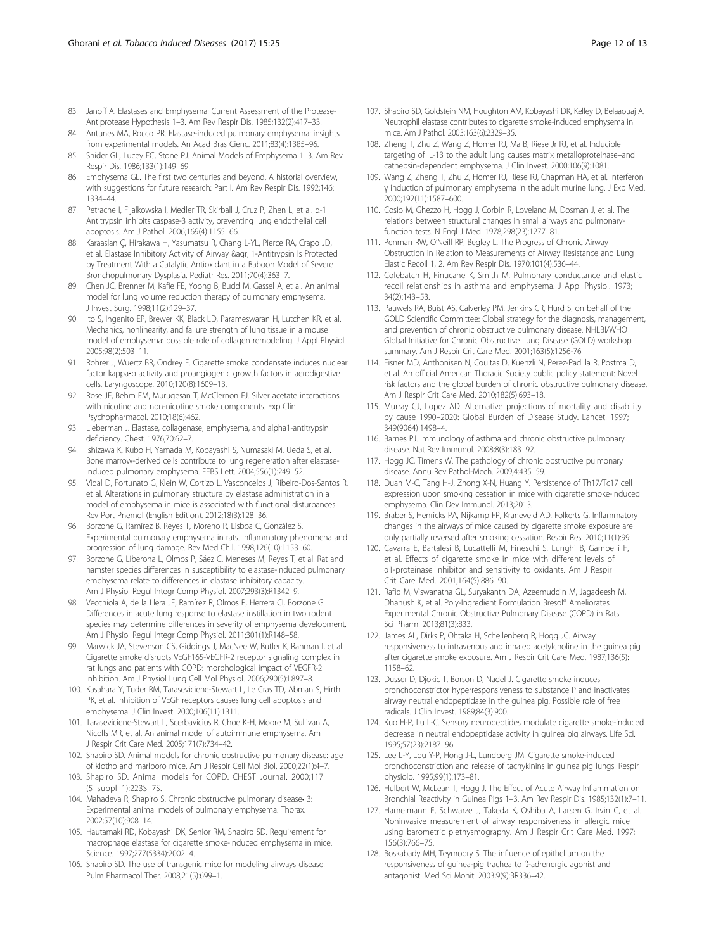- <span id="page-11-0"></span>83. Janoff A. Elastases and Emphysema: Current Assessment of the Protease-Antiprotease Hypothesis 1–3. Am Rev Respir Dis. 1985;132(2):417–33.
- 84. Antunes MA, Rocco PR. Elastase-induced pulmonary emphysema: insights from experimental models. An Acad Bras Cienc. 2011;83(4):1385–96.
- 85. Snider GL, Lucey EC, Stone PJ. Animal Models of Emphysema 1–3. Am Rev Respir Dis. 1986;133(1):149–69.
- 86. Emphysema GL. The first two centuries and beyond. A historial overview, with suggestions for future research: Part I. Am Rev Respir Dis. 1992;146: 1334–44.
- 87. Petrache I, Fijalkowska I, Medler TR, Skirball J, Cruz P, Zhen L, et al. α-1 Antitrypsin inhibits caspase-3 activity, preventing lung endothelial cell apoptosis. Am J Pathol. 2006;169(4):1155–66.
- 88. Karaaslan Ç, Hirakawa H, Yasumatsu R, Chang L-YL, Pierce RA, Crapo JD, et al. Elastase Inhibitory Activity of Airway &agr; 1-Antitrypsin Is Protected by Treatment With a Catalytic Antioxidant in a Baboon Model of Severe Bronchopulmonary Dysplasia. Pediatr Res. 2011;70(4):363–7.
- 89. Chen JC, Brenner M, Kafie FE, Yoong B, Budd M, Gassel A, et al. An animal model for lung volume reduction therapy of pulmonary emphysema. J Invest Surg. 1998;11(2):129–37.
- 90. Ito S, Ingenito EP, Brewer KK, Black LD, Parameswaran H, Lutchen KR, et al. Mechanics, nonlinearity, and failure strength of lung tissue in a mouse model of emphysema: possible role of collagen remodeling. J Appl Physiol. 2005;98(2):503–11.
- 91. Rohrer J, Wuertz BR, Ondrey F. Cigarette smoke condensate induces nuclear factor kappa‐b activity and proangiogenic growth factors in aerodigestive cells. Laryngoscope. 2010;120(8):1609–13.
- 92. Rose JE, Behm FM, Murugesan T, McClernon FJ. Silver acetate interactions with nicotine and non-nicotine smoke components. Exp Clin Psychopharmacol. 2010;18(6):462.
- 93. Lieberman J. Elastase, collagenase, emphysema, and alpha1-antitrypsin deficiency. Chest. 1976;70:62–7.
- 94. Ishizawa K, Kubo H, Yamada M, Kobayashi S, Numasaki M, Ueda S, et al. Bone marrow-derived cells contribute to lung regeneration after elastaseinduced pulmonary emphysema. FEBS Lett. 2004;556(1):249–52.
- 95. Vidal D, Fortunato G, Klein W, Cortizo L, Vasconcelos J, Ribeiro-Dos-Santos R, et al. Alterations in pulmonary structure by elastase administration in a model of emphysema in mice is associated with functional disturbances. Rev Port Pnemol (English Edition). 2012;18(3):128–36.
- 96. Borzone G, Ramírez B, Reyes T, Moreno R, Lisboa C, González S. Experimental pulmonary emphysema in rats. Inflammatory phenomena and progression of lung damage. Rev Med Chil. 1998;126(10):1153–60.
- 97. Borzone G, Liberona L, Olmos P, Sáez C, Meneses M, Reyes T, et al. Rat and hamster species differences in susceptibility to elastase-induced pulmonary emphysema relate to differences in elastase inhibitory capacity. Am J Physiol Regul Integr Comp Physiol. 2007;293(3):R1342–9.
- 98. Vecchiola A, de la Llera JF, Ramírez R, Olmos P, Herrera CI, Borzone G. Differences in acute lung response to elastase instillation in two rodent species may determine differences in severity of emphysema development. Am J Physiol Regul Integr Comp Physiol. 2011;301(1):R148–58.
- 99. Marwick JA, Stevenson CS, Giddings J, MacNee W, Butler K, Rahman I, et al. Cigarette smoke disrupts VEGF165-VEGFR-2 receptor signaling complex in rat lungs and patients with COPD: morphological impact of VEGFR-2 inhibition. Am J Physiol Lung Cell Mol Physiol. 2006;290(5):L897–8.
- 100. Kasahara Y, Tuder RM, Taraseviciene-Stewart L, Le Cras TD, Abman S, Hirth PK, et al. Inhibition of VEGF receptors causes lung cell apoptosis and emphysema. J Clin Invest. 2000;106(11):1311.
- 101. Taraseviciene-Stewart L, Scerbavicius R, Choe K-H, Moore M, Sullivan A, Nicolls MR, et al. An animal model of autoimmune emphysema. Am J Respir Crit Care Med. 2005;171(7):734–42.
- 102. Shapiro SD. Animal models for chronic obstructive pulmonary disease: age of klotho and marlboro mice. Am J Respir Cell Mol Biol. 2000;22(1):4–7.
- 103. Shapiro SD. Animal models for COPD. CHEST Journal. 2000;117 (5\_suppl\_1):223S–7S.
- 104. Mahadeva R, Shapiro S. Chronic obstructive pulmonary disease• 3: Experimental animal models of pulmonary emphysema. Thorax. 2002;57(10):908–14.
- 105. Hautamaki RD, Kobayashi DK, Senior RM, Shapiro SD. Requirement for macrophage elastase for cigarette smoke-induced emphysema in mice. Science. 1997;277(5334):2002–4.
- 106. Shapiro SD. The use of transgenic mice for modeling airways disease. Pulm Pharmacol Ther. 2008;21(5):699–1.
- 107. Shapiro SD, Goldstein NM, Houghton AM, Kobayashi DK, Kelley D, Belaaouaj A. Neutrophil elastase contributes to cigarette smoke-induced emphysema in mice. Am J Pathol. 2003;163(6):2329–35.
- 108. Zheng T, Zhu Z, Wang Z, Homer RJ, Ma B, Riese Jr RJ, et al. Inducible targeting of IL-13 to the adult lung causes matrix metalloproteinase–and cathepsin-dependent emphysema. J Clin Invest. 2000;106(9):1081.
- 109. Wang Z, Zheng T, Zhu Z, Homer RJ, Riese RJ, Chapman HA, et al. Interferon γ induction of pulmonary emphysema in the adult murine lung. J Exp Med. 2000;192(11):1587–600.
- 110. Cosio M, Ghezzo H, Hogg J, Corbin R, Loveland M, Dosman J, et al. The relations between structural changes in small airways and pulmonaryfunction tests. N Engl J Med. 1978;298(23):1277–81.
- 111. Penman RW, O'Neill RP, Begley L. The Progress of Chronic Airway Obstruction in Relation to Measurements of Airway Resistance and Lung Elastic Recoil 1, 2. Am Rev Respir Dis. 1970;101(4):536–44.
- 112. Colebatch H, Finucane K, Smith M. Pulmonary conductance and elastic recoil relationships in asthma and emphysema. J Appl Physiol. 1973; 34(2):143–53.
- 113. Pauwels RA, Buist AS, Calverley PM, Jenkins CR, Hurd S, on behalf of the GOLD Scientific Committee: Global strategy for the diagnosis, management, and prevention of chronic obstructive pulmonary disease. NHLBI/WHO Global Initiative for Chronic Obstructive Lung Disease (GOLD) workshop summary. Am J Respir Crit Care Med. 2001;163(5):1256-76
- 114. Eisner MD, Anthonisen N, Coultas D, Kuenzli N, Perez-Padilla R, Postma D, et al. An official American Thoracic Society public policy statement: Novel risk factors and the global burden of chronic obstructive pulmonary disease. Am J Respir Crit Care Med. 2010;182(5):693–18.
- 115. Murray CJ, Lopez AD. Alternative projections of mortality and disability by cause 1990–2020: Global Burden of Disease Study. Lancet. 1997; 349(9064):1498–4.
- 116. Barnes PJ. Immunology of asthma and chronic obstructive pulmonary disease. Nat Rev Immunol. 2008;8(3):183–92.
- 117. Hogg JC, Timens W. The pathology of chronic obstructive pulmonary disease. Annu Rev Pathol-Mech. 2009;4:435–59.
- 118. Duan M-C, Tang H-J, Zhong X-N, Huang Y. Persistence of Th17/Tc17 cell expression upon smoking cessation in mice with cigarette smoke-induced emphysema. Clin Dev Immunol. 2013;2013.
- 119. Braber S, Henricks PA, Nijkamp FP, Kraneveld AD, Folkerts G. Inflammatory changes in the airways of mice caused by cigarette smoke exposure are only partially reversed after smoking cessation. Respir Res. 2010;11(1):99.
- 120. Cavarra E, Bartalesi B, Lucattelli M, Fineschi S, Lunghi B, Gambelli F, et al. Effects of cigarette smoke in mice with different levels of α1-proteinase inhibitor and sensitivity to oxidants. Am J Respir Crit Care Med. 2001;164(5):886–90.
- 121. Rafiq M, Viswanatha GL, Suryakanth DA, Azeemuddin M, Jagadeesh M, Dhanush K, et al. Poly-Ingredient Formulation Bresol® Ameliorates Experimental Chronic Obstructive Pulmonary Disease (COPD) in Rats. Sci Pharm. 2013;81(3):833.
- 122. James AL, Dirks P, Ohtaka H, Schellenberg R, Hogg JC. Airway responsiveness to intravenous and inhaled acetylcholine in the guinea pig after cigarette smoke exposure. Am J Respir Crit Care Med. 1987;136(5): 1158–62.
- 123. Dusser D, Djokic T, Borson D, Nadel J. Cigarette smoke induces bronchoconstrictor hyperresponsiveness to substance P and inactivates airway neutral endopeptidase in the guinea pig. Possible role of free radicals. J Clin Invest. 1989;84(3):900.
- 124. Kuo H-P, Lu L-C. Sensory neuropeptides modulate cigarette smoke-induced decrease in neutral endopeptidase activity in guinea pig airways. Life Sci. 1995;57(23):2187–96.
- 125. Lee L-Y, Lou Y-P, Hong J-L, Lundberg JM. Cigarette smoke-induced bronchoconstriction and release of tachykinins in guinea pig lungs. Respir physiolo. 1995;99(1):173–81.
- 126. Hulbert W, McLean T, Hogg J. The Effect of Acute Airway Inflammation on Bronchial Reactivity in Guinea Pigs 1–3. Am Rev Respir Dis. 1985;132(1):7–11.
- 127. Hamelmann E, Schwarze J, Takeda K, Oshiba A, Larsen G, Irvin C, et al. Noninvasive measurement of airway responsiveness in allergic mice using barometric plethysmography. Am J Respir Crit Care Med. 1997; 156(3):766–75.
- 128. Boskabady MH, Teymoory S. The influence of epithelium on the responsiveness of guinea-pig trachea to ß-adrenergic agonist and antagonist. Med Sci Monit. 2003;9(9):BR336–42.